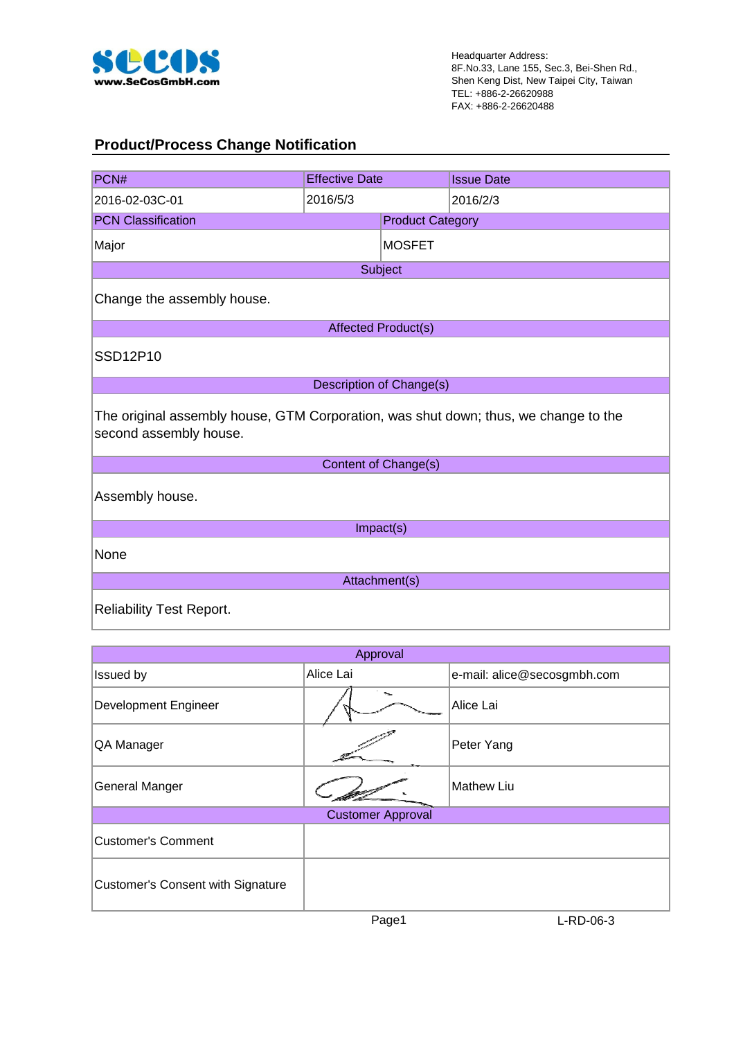

 $\overline{\phantom{a}}$ 

#### **Product/Process Change Notification**

| PCN#                                                                                                          | <b>Effective Date</b>           |                         | <b>Issue Date</b> |  |  |  |  |  |
|---------------------------------------------------------------------------------------------------------------|---------------------------------|-------------------------|-------------------|--|--|--|--|--|
| 2016-02-03C-01                                                                                                | 2016/5/3                        |                         | 2016/2/3          |  |  |  |  |  |
| <b>PCN Classification</b>                                                                                     |                                 | <b>Product Category</b> |                   |  |  |  |  |  |
| Major                                                                                                         |                                 | <b>MOSFET</b>           |                   |  |  |  |  |  |
|                                                                                                               | Subject                         |                         |                   |  |  |  |  |  |
| Change the assembly house.                                                                                    |                                 |                         |                   |  |  |  |  |  |
|                                                                                                               | <b>Affected Product(s)</b>      |                         |                   |  |  |  |  |  |
| SSD12P10                                                                                                      |                                 |                         |                   |  |  |  |  |  |
|                                                                                                               | <b>Description of Change(s)</b> |                         |                   |  |  |  |  |  |
| The original assembly house, GTM Corporation, was shut down; thus, we change to the<br>second assembly house. |                                 |                         |                   |  |  |  |  |  |
|                                                                                                               | Content of Change(s)            |                         |                   |  |  |  |  |  |
| Assembly house.                                                                                               |                                 |                         |                   |  |  |  |  |  |
|                                                                                                               | Impact(s)                       |                         |                   |  |  |  |  |  |
| None                                                                                                          |                                 |                         |                   |  |  |  |  |  |
| Attachment(s)                                                                                                 |                                 |                         |                   |  |  |  |  |  |
| <b>Reliability Test Report.</b>                                                                               |                                 |                         |                   |  |  |  |  |  |

| Approval                                 |                          |                             |  |  |  |  |
|------------------------------------------|--------------------------|-----------------------------|--|--|--|--|
| Issued by                                | Alice Lai                | e-mail: alice@secosgmbh.com |  |  |  |  |
| Development Engineer                     |                          | Alice Lai                   |  |  |  |  |
| QA Manager                               |                          | Peter Yang                  |  |  |  |  |
| <b>General Manger</b>                    |                          | <b>Mathew Liu</b>           |  |  |  |  |
|                                          | <b>Customer Approval</b> |                             |  |  |  |  |
| <b>Customer's Comment</b>                |                          |                             |  |  |  |  |
| <b>Customer's Consent with Signature</b> |                          |                             |  |  |  |  |

Page1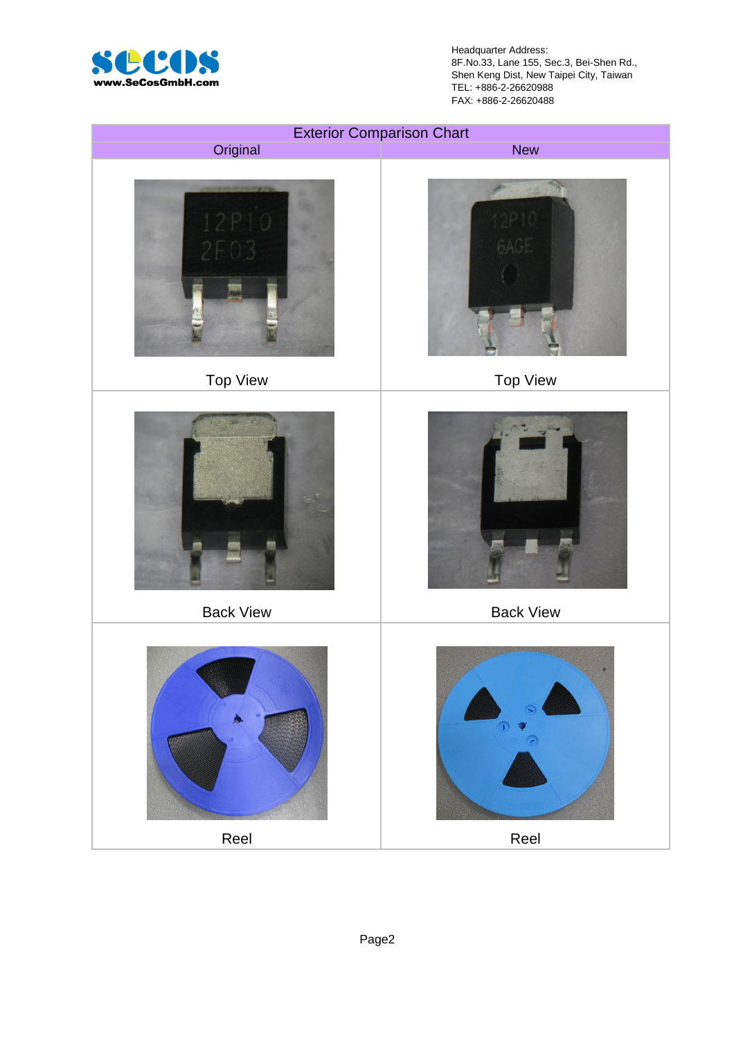

Headquarter Address: 8F.No.33, Lane 155, Sec.3, Bei-Shen Rd., Shen Keng Dist, New Taipei City, Taiwan TEL: +886-2-26620988 FAX: +886-2-26620488

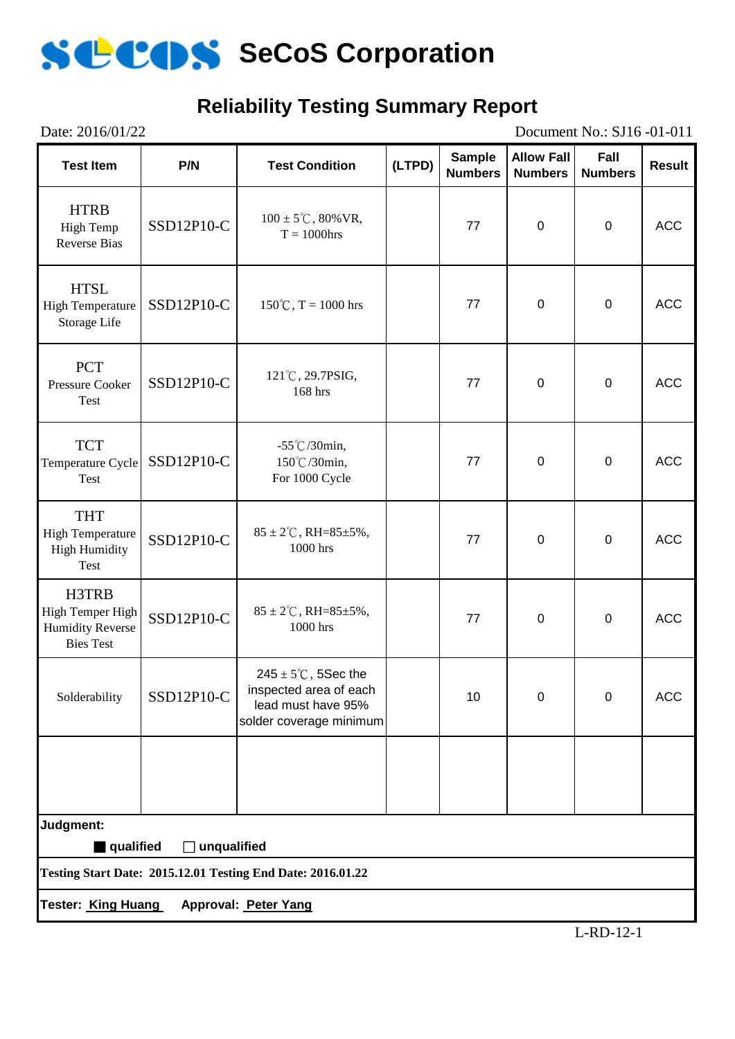

### **Reliability Testing Summary Report**

| Date: 2016/01/22<br>Document No.: SJ16-01-011                            |             |                                                                                                            |        |                                 |                                     |                        |               |
|--------------------------------------------------------------------------|-------------|------------------------------------------------------------------------------------------------------------|--------|---------------------------------|-------------------------------------|------------------------|---------------|
| <b>Test Item</b>                                                         | P/N         | <b>Test Condition</b>                                                                                      | (LTPD) | <b>Sample</b><br><b>Numbers</b> | <b>Allow Fall</b><br><b>Numbers</b> | Fall<br><b>Numbers</b> | <b>Result</b> |
| <b>HTRB</b><br>High Temp<br><b>Reverse Bias</b>                          | SSD12P10-C  | $100 \pm 5^{\circ}$ C, 80% VR,<br>$T = 1000$ hrs                                                           |        | 77                              | $\pmb{0}$                           | $\pmb{0}$              | <b>ACC</b>    |
| <b>HTSL</b><br><b>High Temperature</b><br>Storage Life                   | SSD12P10-C  | $150^{\circ}$ C, T = 1000 hrs                                                                              |        | 77                              | $\pmb{0}$                           | $\mathbf 0$            | <b>ACC</b>    |
| <b>PCT</b><br>Pressure Cooker<br>Test                                    | SSD12P10-C  | 121°C, 29.7PSIG,<br>168 hrs                                                                                |        | 77                              | $\mathbf 0$                         | $\mathbf 0$            | <b>ACC</b>    |
| <b>TCT</b><br>Temperature Cycle<br>Test                                  | SSD12P10-C  | $-55^{\circ}$ C/30min,<br>150°C/30min,<br>For 1000 Cycle                                                   |        | 77                              | $\mathbf 0$                         | $\mathbf 0$            | <b>ACC</b>    |
| <b>THT</b><br><b>High Temperature</b><br><b>High Humidity</b><br>Test    | SSD12P10-C  | $85 \pm 2^{\circ}$ C, RH= $85 \pm 5\%$ ,<br>1000 hrs                                                       |        | 77                              | $\mathbf 0$                         | $\mathbf 0$            | <b>ACC</b>    |
| H3TRB<br>High Temper High<br><b>Humidity Reverse</b><br><b>Bies Test</b> | SSD12P10-C  | $85 \pm 2^{\circ}$ C, RH= $85 \pm 5\%$ ,<br>1000 hrs                                                       |        | 77                              | $\pmb{0}$                           | $\pmb{0}$              | <b>ACC</b>    |
| Solderability                                                            | SSD12P10-C  | $245 \pm 5^{\circ}$ C, 5Sec the<br>inspected area of each<br>lead must have 95%<br>solder coverage minimum |        | 10                              | 0                                   | 0                      | <b>ACC</b>    |
|                                                                          |             |                                                                                                            |        |                                 |                                     |                        |               |
| Judgment:                                                                |             |                                                                                                            |        |                                 |                                     |                        |               |
| qualified                                                                | unqualified |                                                                                                            |        |                                 |                                     |                        |               |
|                                                                          |             | <b>Testing Start Date: 2015.12.01 Testing End Date: 2016.01.22</b>                                         |        |                                 |                                     |                        |               |
| Tester: <u>King Huang</u>                                                |             | Approval: Peter Yang                                                                                       |        |                                 |                                     |                        |               |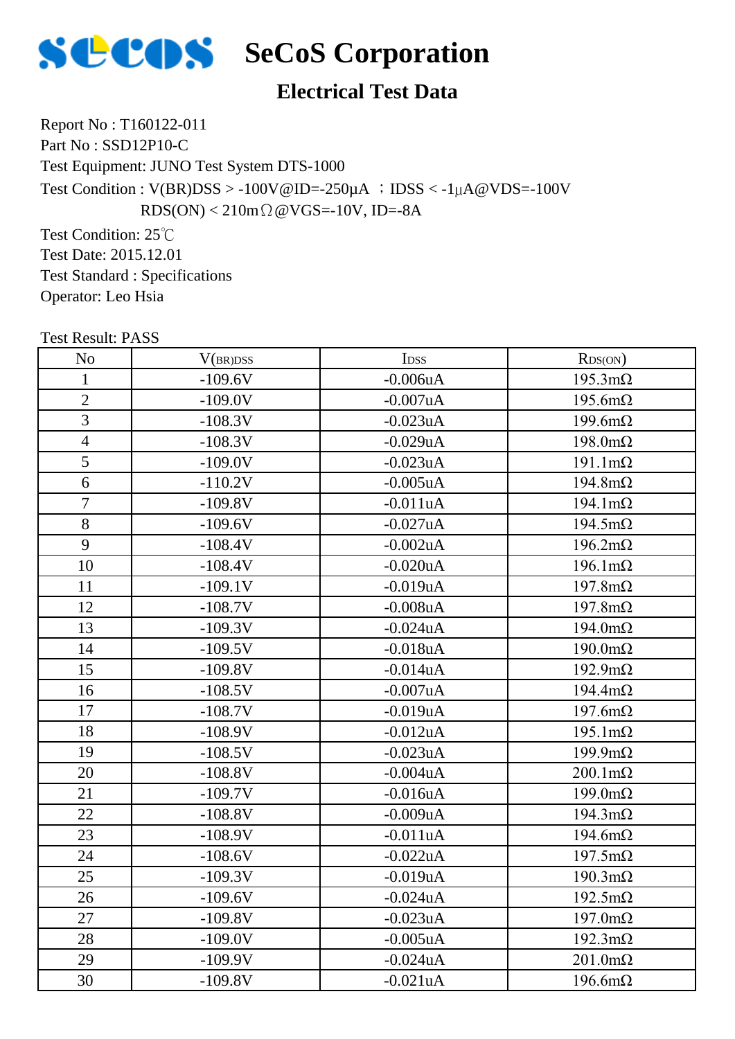

## **SECOS** SeCoS Corporation

#### **Electrical Test Data**

Report No : T160122-011 Part No : SSD12P10-C Test Equipment: JUNO Test System DTS-1000 Test Condition :  $V(BR)DSS > -100V@ID = -250\mu A$  ;  $IDSS < -1\mu A@VDS = -100V$  $RDS(ON) < 210m\Omega$  @VGS=-10V, ID=-8A

Test Condition: 25℃ Test Date: 2015.12.01 Test Standard : Specifications Operator: Leo Hsia

| <b>Test Result: PASS</b> |           |                  |                        |
|--------------------------|-----------|------------------|------------------------|
| N <sub>o</sub>           | V(BR)DSS  | I <sub>DSS</sub> | RDS(ON)                |
| $\mathbf 1$              | $-109.6V$ | $-0.006$ u $A$   | $195.3 \text{m}\Omega$ |
| $\overline{2}$           | $-109.0V$ | $-0.007uA$       | $195.6m\Omega$         |
| 3                        | $-108.3V$ | $-0.023uA$       | $199.6m\Omega$         |
| $\overline{4}$           | $-108.3V$ | $-0.029uA$       | $198.0 \text{m}\Omega$ |
| 5                        | $-109.0V$ | $-0.023uA$       | $191.1 \text{m}\Omega$ |
| 6                        | $-110.2V$ | $-0.005$ uA      | $194.8m\Omega$         |
| $\overline{7}$           | $-109.8V$ | $-0.011uA$       | $194.1 \text{m}\Omega$ |
| 8                        | $-109.6V$ | $-0.027uA$       | $194.5 \text{m}\Omega$ |
| 9                        | $-108.4V$ | $-0.002uA$       | $196.2 \text{m}\Omega$ |
| 10                       | $-108.4V$ | $-0.020uA$       | $196.1 \text{m}\Omega$ |
| 11                       | $-109.1V$ | $-0.019uA$       | $197.8 \text{m}\Omega$ |
| 12                       | $-108.7V$ | $-0.008uA$       | $197.8m\Omega$         |
| 13                       | $-109.3V$ | $-0.024uA$       | $194.0 \text{m}\Omega$ |
| 14                       | $-109.5V$ | $-0.018uA$       | $190.0 \text{m}\Omega$ |
| 15                       | $-109.8V$ | $-0.014uA$       | $192.9 \text{m}\Omega$ |
| 16                       | $-108.5V$ | $-0.007uA$       | $194.4 \text{m}\Omega$ |
| 17                       | $-108.7V$ | $-0.019uA$       | $197.6m\Omega$         |
| 18                       | $-108.9V$ | $-0.012$ uA      | $195.1 \text{m}\Omega$ |
| 19                       | $-108.5V$ | $-0.023uA$       | $199.9 \text{m}\Omega$ |
| 20                       | $-108.8V$ | $-0.004uA$       | $200.1 \text{m}\Omega$ |
| 21                       | $-109.7V$ | $-0.016uA$       | $199.0 \text{m}\Omega$ |
| 22                       | $-108.8V$ | $-0.009uA$       | $194.3 \text{m}\Omega$ |
| 23                       | $-108.9V$ | $-0.011uA$       | $194.6m\Omega$         |
| 24                       | $-108.6V$ | $-0.022uA$       | $197.5 \text{m}\Omega$ |
| 25                       | $-109.3V$ | $-0.019uA$       | $190.3 \text{m}\Omega$ |
| 26                       | $-109.6V$ | $-0.024$ u $A$   | $192.5 \text{m}\Omega$ |
| 27                       | $-109.8V$ | $-0.023uA$       | $197.0 \text{m}\Omega$ |
| 28                       | $-109.0V$ | $-0.005uA$       | $192.3 \text{m}\Omega$ |
| 29                       | $-109.9V$ | $-0.024uA$       | $201.0 \text{m}\Omega$ |
| 30                       | $-109.8V$ | $-0.021uA$       | $196.6m\Omega$         |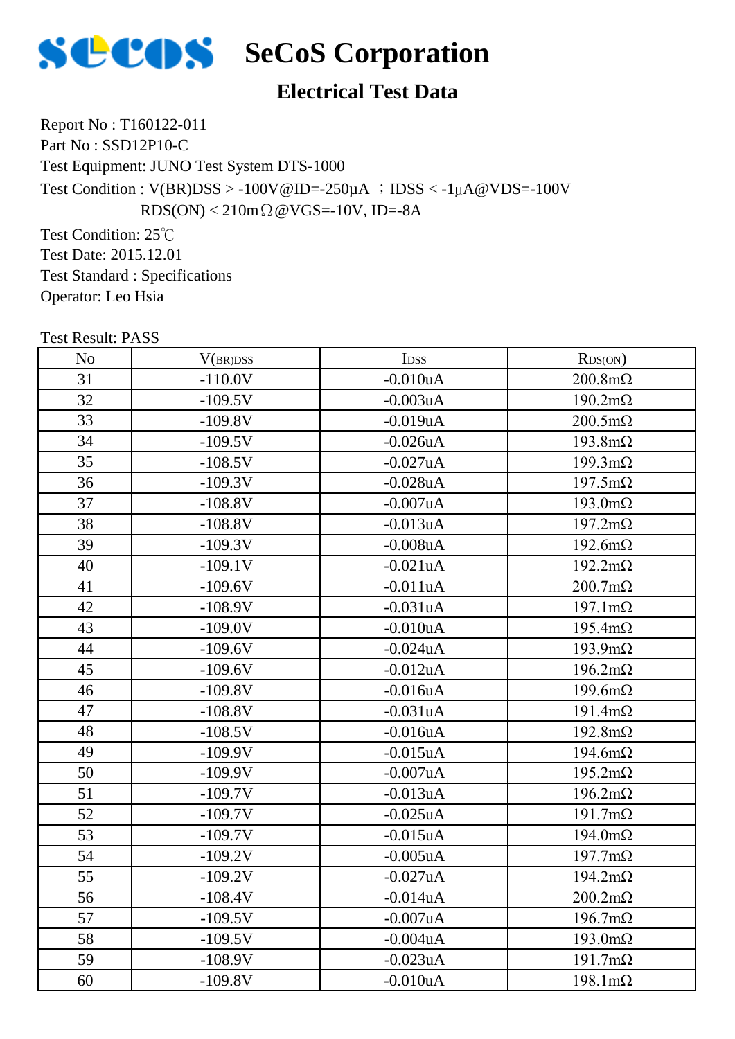

## **SECOS** SeCoS Corporation

#### **Electrical Test Data**

Report No : T160122-011 Part No : SSD12P10-C Test Equipment: JUNO Test System DTS-1000 Test Condition :  $V(BR)DSS > -100V@ID = -250\mu A$  ;  $IDSS < -1\mu A@VDS = -100V$  $RDS(ON) < 210m\Omega$  @VGS=-10V, ID=-8A

Test Condition: 25℃ Test Date: 2015.12.01 Test Standard : Specifications Operator: Leo Hsia

| <b>Test Result: PASS</b> |           |                  |                        |
|--------------------------|-----------|------------------|------------------------|
| N <sub>o</sub>           | V(BR)DSS  | I <sub>DSS</sub> | RDS(ON)                |
| 31                       | $-110.0V$ | $-0.010uA$       | $200.8 \text{m}\Omega$ |
| 32                       | $-109.5V$ | $-0.003uA$       | $190.2 \text{m}\Omega$ |
| 33                       | $-109.8V$ | $-0.019uA$       | $200.5 \text{m}\Omega$ |
| 34                       | $-109.5V$ | $-0.026$ uA      | $193.8m\Omega$         |
| 35                       | $-108.5V$ | $-0.027uA$       | $199.3 \text{m}\Omega$ |
| 36                       | $-109.3V$ | $-0.028uA$       | $197.5 \text{m}\Omega$ |
| 37                       | $-108.8V$ | $-0.007uA$       | $193.0 \text{m}\Omega$ |
| 38                       | $-108.8V$ | $-0.013uA$       | $197.2 \text{m}\Omega$ |
| 39                       | $-109.3V$ | $-0.008uA$       | $192.6 \text{m}\Omega$ |
| 40                       | $-109.1V$ | $-0.021uA$       | $192.2 \text{m}\Omega$ |
| 41                       | $-109.6V$ | $-0.011uA$       | $200.7 \text{m}\Omega$ |
| 42                       | $-108.9V$ | $-0.031uA$       | $197.1 \text{m}\Omega$ |
| 43                       | $-109.0V$ | $-0.010uA$       | $195.4 \text{m}\Omega$ |
| 44                       | $-109.6V$ | $-0.024uA$       | $193.9 \text{m}\Omega$ |
| 45                       | $-109.6V$ | $-0.012$ uA      | $196.2 \text{m}\Omega$ |
| 46                       | $-109.8V$ | $-0.016uA$       | $199.6m\Omega$         |
| 47                       | $-108.8V$ | $-0.031uA$       | $191.4 \text{m}\Omega$ |
| 48                       | $-108.5V$ | $-0.016$ uA      | $192.8 \text{m}\Omega$ |
| 49                       | $-109.9V$ | $-0.015$ uA      | $194.6m\Omega$         |
| 50                       | $-109.9V$ | $-0.007uA$       | $195.2 \text{m}\Omega$ |
| 51                       | $-109.7V$ | $-0.013uA$       | $196.2 \text{m}\Omega$ |
| 52                       | $-109.7V$ | $-0.025uA$       | $191.7 \text{m}\Omega$ |
| 53                       | $-109.7V$ | $-0.015uA$       | $194.0 \text{m}\Omega$ |
| 54                       | $-109.2V$ | $-0.005$ uA      | $197.7 \text{m}\Omega$ |
| 55                       | $-109.2V$ | $-0.027uA$       | $194.2 \text{m}\Omega$ |
| 56                       | $-108.4V$ | $-0.014uA$       | $200.2 \text{m}\Omega$ |
| 57                       | $-109.5V$ | $-0.007uA$       | $196.7 \text{m}\Omega$ |
| 58                       | $-109.5V$ | $-0.004uA$       | $193.0 \text{m}\Omega$ |
| 59                       | $-108.9V$ | $-0.023uA$       | $191.7 \text{m}\Omega$ |
| 60                       | $-109.8V$ | $-0.010uA$       | $198.1 \text{m}\Omega$ |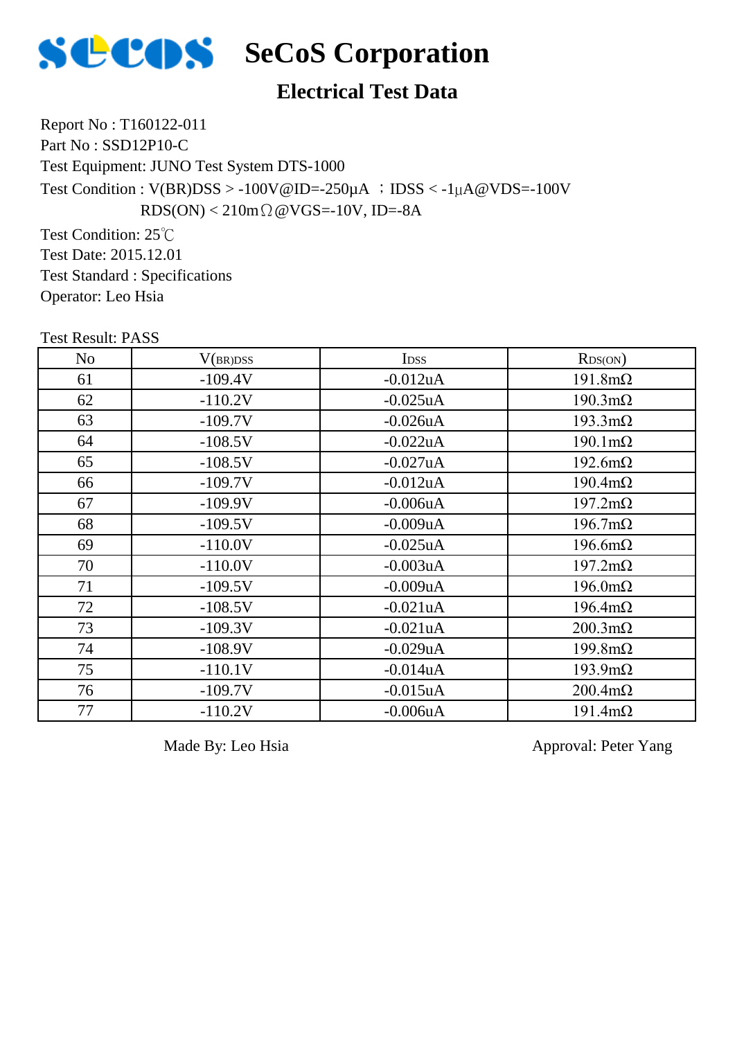

## **SECOS** SeCoS Corporation

#### **Electrical Test Data**

Report No : T160122-011 Part No : SSD12P10-C Test Equipment: JUNO Test System DTS-1000 Test Condition :  $V(BR)DSS > -100V@ID = -250\mu A$  ;  $IDSS < -1\mu A@VDS = -100V$  $RDS(ON) < 210m\Omega$  @VGS=-10V, ID=-8A

Test Condition: 25℃ Test Date: 2015.12.01 Test Standard : Specifications Operator: Leo Hsia

| <b>Test Result: PASS</b> |           |                |                        |
|--------------------------|-----------|----------------|------------------------|
| No                       | V(BR)DSS  | <b>IDSS</b>    | RDS(ON)                |
| 61                       | $-109.4V$ | $-0.012$ uA    | $191.8 \text{m}\Omega$ |
| 62                       | $-110.2V$ | $-0.025$ uA    | $190.3 \text{m}\Omega$ |
| 63                       | $-109.7V$ | $-0.026$ uA    | $193.3 \text{mA}$      |
| 64                       | $-108.5V$ | $-0.022uA$     | $190.1 \text{m}\Omega$ |
| 65                       | $-108.5V$ | $-0.027uA$     | $192.6 \text{m}\Omega$ |
| 66                       | $-109.7V$ | $-0.012uA$     | $190.4 \text{m}\Omega$ |
| 67                       | $-109.9V$ | $-0.006uA$     | $197.2 \text{m}\Omega$ |
| 68                       | $-109.5V$ | $-0.009uA$     | $196.7 \text{m}\Omega$ |
| 69                       | $-110.0V$ | $-0.025$ uA    | $196.6m\Omega$         |
| 70                       | $-110.0V$ | $-0.003uA$     | $197.2 \text{m}\Omega$ |
| 71                       | $-109.5V$ | $-0.009uA$     | $196.0 \text{m}\Omega$ |
| 72                       | $-108.5V$ | $-0.021$ uA    | $196.4 \text{m}\Omega$ |
| 73                       | $-109.3V$ | $-0.021uA$     | $200.3 \text{m}\Omega$ |
| 74                       | $-108.9V$ | $-0.029uA$     | $199.8 \text{m}\Omega$ |
| 75                       | $-110.1V$ | $-0.014uA$     | $193.9 \text{m}\Omega$ |
| 76                       | $-109.7V$ | $-0.015$ uA    | $200.4 \text{m}\Omega$ |
| 77                       | $-110.2V$ | $-0.006$ u $A$ | $191.4 \text{m}\Omega$ |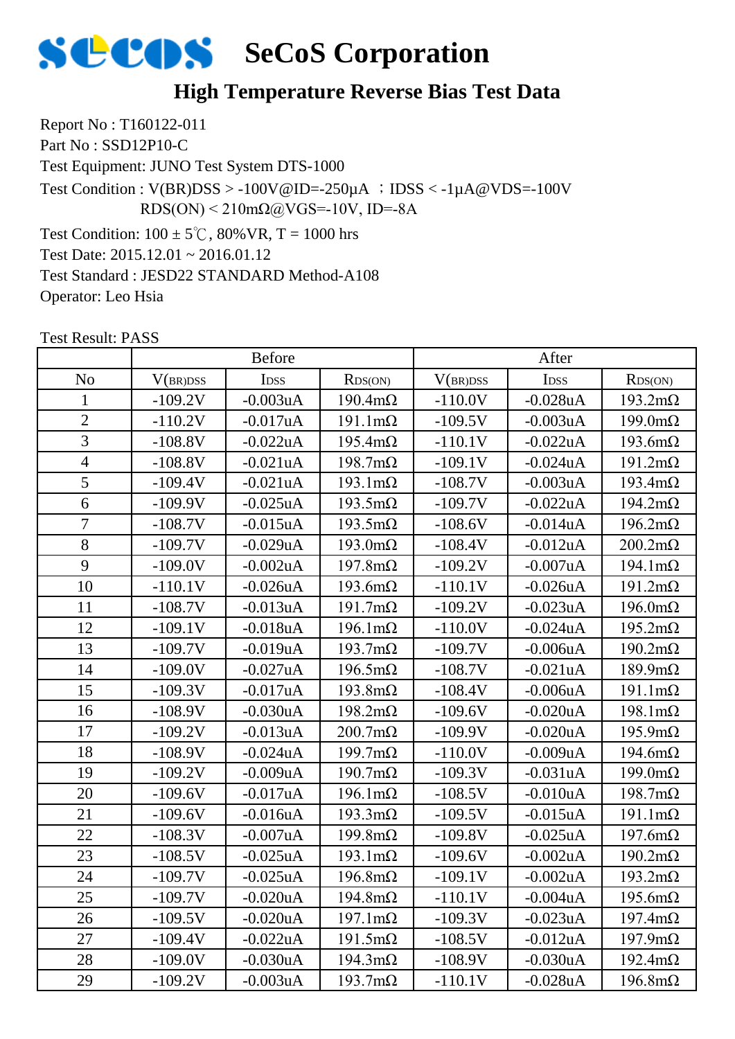

#### **High Temperature Reverse Bias Test Data**

Report No : T160122-011 Part No : SSD12P10-C Test Equipment: JUNO Test System DTS-1000 Test Condition:  $100 \pm 5^{\circ}$ C, 80% VR, T = 1000 hrs Test Date: 2015.12.01 ~ 2016.01.12 Test Standard : JESD22 STANDARD Method-A108 Test Condition :  $V(BR)DSS > -100V@ID = -250\mu A$  ;  $DSS < -1\mu A@VDS = -100V$ RDS(ON) < 210mΩ@VGS=-10V, ID=-8A

Test Result: PASS

Operator: Leo Hsia

|                |           | <b>Before</b>    |                        |           | After            |                        |
|----------------|-----------|------------------|------------------------|-----------|------------------|------------------------|
| N <sub>o</sub> | V(BR)DSS  | I <sub>DSS</sub> | RDS(ON)                | V(BR)DSS  | I <sub>DSS</sub> | RDS(ON)                |
| 1              | $-109.2V$ | $-0.003uA$       | $190.4 \text{m}\Omega$ | $-110.0V$ | $-0.028uA$       | $193.2 \text{m}\Omega$ |
| $\overline{2}$ | $-110.2V$ | $-0.017uA$       | $191.1 \text{m}\Omega$ | $-109.5V$ | $-0.003uA$       | $199.0 \text{m}\Omega$ |
| 3              | $-108.8V$ | $-0.022uA$       | $195.4 \text{m}\Omega$ | $-110.1V$ | $-0.022uA$       | $193.6m\Omega$         |
| $\overline{4}$ | $-108.8V$ | $-0.021uA$       | $198.7 \text{m}\Omega$ | $-109.1V$ | $-0.024uA$       | $191.2 \text{m}\Omega$ |
| 5              | $-109.4V$ | $-0.021uA$       | $193.1 \text{m}\Omega$ | $-108.7V$ | $-0.003uA$       | $193.4 \text{m}\Omega$ |
| 6              | $-109.9V$ | $-0.025uA$       | $193.5 \text{m}\Omega$ | $-109.7V$ | $-0.022uA$       | $194.2 \text{m}\Omega$ |
| 7              | $-108.7V$ | $-0.015uA$       | $193.5 \text{m}\Omega$ | $-108.6V$ | $-0.014uA$       | $196.2 \text{m}\Omega$ |
| 8              | $-109.7V$ | $-0.029uA$       | $193.0 \text{m}\Omega$ | $-108.4V$ | $-0.012$ uA      | $200.2 \text{m}\Omega$ |
| 9              | $-109.0V$ | $-0.002uA$       | $197.8 \text{m}\Omega$ | $-109.2V$ | $-0.007uA$       | $194.1 \text{m}\Omega$ |
| 10             | $-110.1V$ | $-0.026uA$       | $193.6 \text{m}\Omega$ | $-110.1V$ | $-0.026$ u $A$   | $191.2 \text{m}\Omega$ |
| 11             | $-108.7V$ | $-0.013uA$       | $191.7 \text{m}\Omega$ | $-109.2V$ | $-0.023uA$       | $196.0 \text{m}\Omega$ |
| 12             | $-109.1V$ | $-0.018uA$       | $196.1 \text{m}\Omega$ | $-110.0V$ | $-0.024uA$       | $195.2 \text{m}\Omega$ |
| 13             | $-109.7V$ | $-0.019uA$       | $193.7 \text{m}\Omega$ | $-109.7V$ | $-0.006$ u $A$   | $190.2 \text{m}\Omega$ |
| 14             | $-109.0V$ | $-0.027uA$       | $196.5 \text{m}\Omega$ | $-108.7V$ | $-0.021uA$       | $189.9 \text{m}\Omega$ |
| 15             | $-109.3V$ | $-0.017uA$       | $193.8 \text{m}\Omega$ | $-108.4V$ | $-0.006$ u $A$   | $191.1 \text{m}\Omega$ |
| 16             | $-108.9V$ | $-0.030uA$       | $198.2 \text{m}\Omega$ | $-109.6V$ | $-0.020uA$       | $198.1 \text{m}\Omega$ |
| 17             | $-109.2V$ | $-0.013uA$       | $200.7 \text{m}\Omega$ | $-109.9V$ | $-0.020uA$       | $195.9 \text{m}\Omega$ |
| 18             | $-108.9V$ | $-0.024uA$       | $199.7 \text{m}\Omega$ | $-110.0V$ | $-0.009uA$       | $194.6m\Omega$         |
| 19             | $-109.2V$ | $-0.009uA$       | $190.7 \text{m}\Omega$ | $-109.3V$ | $-0.031uA$       | $199.0 \text{m}\Omega$ |
| 20             | $-109.6V$ | $-0.017uA$       | $196.1 \text{m}\Omega$ | $-108.5V$ | $-0.010uA$       | $198.7 \text{m}\Omega$ |
| 21             | $-109.6V$ | $-0.016uA$       | $193.3 \text{mA}$      | $-109.5V$ | $-0.015uA$       | $191.1 \text{m}\Omega$ |
| 22             | $-108.3V$ | $-0.007uA$       | $199.8 \text{m}\Omega$ | $-109.8V$ | $-0.025$ uA      | $197.6m\Omega$         |
| 23             | $-108.5V$ | $-0.025uA$       | $193.1 \text{m}\Omega$ | $-109.6V$ | $-0.002uA$       | $190.2 \text{m}\Omega$ |
| 24             | $-109.7V$ | $-0.025uA$       | $196.8 \text{m}\Omega$ | $-109.1V$ | $-0.002uA$       | $193.2 \text{m}\Omega$ |
| 25             | $-109.7V$ | $-0.020uA$       | $194.8m\Omega$         | $-110.1V$ | $-0.004uA$       | $195.6 \text{m}\Omega$ |
| 26             | $-109.5V$ | $-0.020uA$       | $197.1 \text{m}\Omega$ | $-109.3V$ | $-0.023uA$       | $197.4 \text{m}\Omega$ |
| 27             | $-109.4V$ | $-0.022uA$       | $191.5 \text{m}\Omega$ | $-108.5V$ | $-0.012uA$       | $197.9 \text{m}\Omega$ |
| 28             | $-109.0V$ | $-0.030uA$       | $194.3 \text{m}\Omega$ | $-108.9V$ | $-0.030uA$       | $192.4 \text{m}\Omega$ |
| 29             | $-109.2V$ | $-0.003uA$       | $193.7 \text{m}\Omega$ | $-110.1V$ | $-0.028uA$       | $196.8 \text{m}\Omega$ |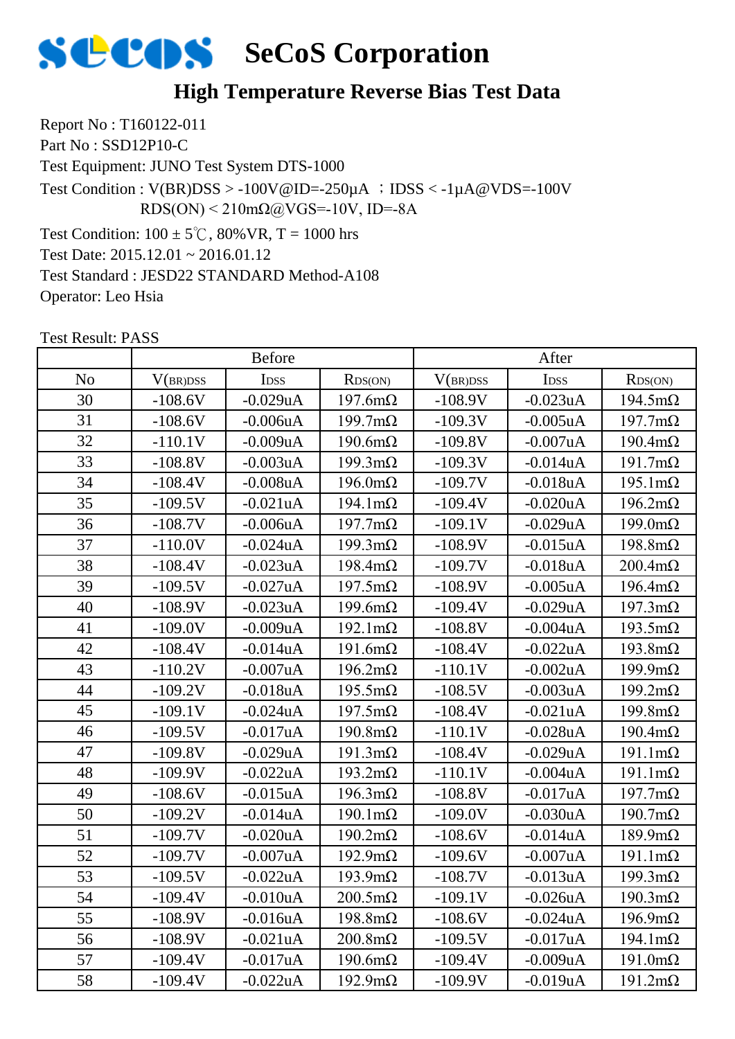

#### **High Temperature Reverse Bias Test Data**

Report No : T160122-011 Part No : SSD12P10-C Test Equipment: JUNO Test System DTS-1000 Test Condition:  $100 \pm 5^{\circ}$ C, 80% VR, T = 1000 hrs Test Date: 2015.12.01 ~ 2016.01.12 Test Standard : JESD22 STANDARD Method-A108 Test Condition :  $V(BR)DSS > -100V@ID = -250\mu A$  ;  $DSS < -1\mu A@VDS = -100V$ RDS(ON) < 210mΩ@VGS=-10V, ID=-8A

Test Result: PASS

Operator: Leo Hsia

|                |           | <b>Before</b>    |                        |           | After            |                        |
|----------------|-----------|------------------|------------------------|-----------|------------------|------------------------|
| N <sub>o</sub> | V(BR)DSS  | I <sub>DSS</sub> | RDS(ON)                | V(BR)DSS  | I <sub>DSS</sub> | RDS(ON)                |
| 30             | $-108.6V$ | $-0.029uA$       | $197.6m\Omega$         | $-108.9V$ | $-0.023$ uA      | $194.5 \text{m}\Omega$ |
| 31             | $-108.6V$ | $-0.006uA$       | $199.7 \text{m}\Omega$ | $-109.3V$ | $-0.005uA$       | $197.7 \text{m}\Omega$ |
| 32             | $-110.1V$ | $-0.009uA$       | $190.6m\Omega$         | $-109.8V$ | $-0.007uA$       | $190.4 \text{m}\Omega$ |
| 33             | $-108.8V$ | $-0.003uA$       | $199.3 \text{m}\Omega$ | $-109.3V$ | $-0.014uA$       | $191.7 \text{m}\Omega$ |
| 34             | $-108.4V$ | $-0.008uA$       | $196.0 \text{m}\Omega$ | $-109.7V$ | $-0.018uA$       | $195.1 \text{m}\Omega$ |
| 35             | $-109.5V$ | $-0.021uA$       | $194.1 \text{m}\Omega$ | $-109.4V$ | $-0.020$ uA      | $196.2 \text{m}\Omega$ |
| 36             | $-108.7V$ | $-0.006uA$       | $197.7 \text{m}\Omega$ | $-109.1V$ | $-0.029uA$       | $199.0 \text{m}\Omega$ |
| 37             | $-110.0V$ | $-0.024uA$       | $199.3 \text{m}\Omega$ | $-108.9V$ | $-0.015uA$       | $198.8 \text{m}\Omega$ |
| 38             | $-108.4V$ | $-0.023uA$       | $198.4 \text{m}\Omega$ | $-109.7V$ | $-0.018$ uA      | $200.4 \text{m}\Omega$ |
| 39             | $-109.5V$ | $-0.027uA$       | $197.5 \text{m}\Omega$ | $-108.9V$ | $-0.005uA$       | $196.4 \text{m}\Omega$ |
| 40             | $-108.9V$ | $-0.023uA$       | $199.6 \text{m}\Omega$ | $-109.4V$ | $-0.029uA$       | $197.3 \text{m}\Omega$ |
| 41             | $-109.0V$ | $-0.009uA$       | $192.1 \text{m}\Omega$ | $-108.8V$ | $-0.004uA$       | $193.5 \text{m}\Omega$ |
| 42             | $-108.4V$ | $-0.014uA$       | $191.6m\Omega$         | $-108.4V$ | $-0.022uA$       | $193.8 \text{m}\Omega$ |
| 43             | $-110.2V$ | $-0.007uA$       | $196.2 \text{m}\Omega$ | $-110.1V$ | $-0.002uA$       | $199.9 \text{m}\Omega$ |
| 44             | $-109.2V$ | $-0.018uA$       | $195.5 \text{m}\Omega$ | $-108.5V$ | $-0.003uA$       | $199.2 \text{m}\Omega$ |
| 45             | $-109.1V$ | $-0.024uA$       | $197.5 \text{m}\Omega$ | $-108.4V$ | $-0.021uA$       | $199.8 \text{m}\Omega$ |
| 46             | $-109.5V$ | $-0.017uA$       | $190.8 \text{m}\Omega$ | $-110.1V$ | $-0.028uA$       | $190.4 \text{m}\Omega$ |
| 47             | $-109.8V$ | $-0.029uA$       | $191.3 \text{m}\Omega$ | $-108.4V$ | $-0.029uA$       | $191.1 \text{m}\Omega$ |
| 48             | $-109.9V$ | $-0.022uA$       | $193.2 \text{m}\Omega$ | $-110.1V$ | $-0.004uA$       | $191.1 \text{m}\Omega$ |
| 49             | $-108.6V$ | $-0.015uA$       | $196.3 \text{m}\Omega$ | $-108.8V$ | $-0.017uA$       | $197.7 \text{m}\Omega$ |
| 50             | $-109.2V$ | $-0.014uA$       | $190.1 \text{m}\Omega$ | $-109.0V$ | $-0.030uA$       | $190.7 \text{m}\Omega$ |
| 51             | $-109.7V$ | $-0.020uA$       | $190.2 \text{m}\Omega$ | $-108.6V$ | $-0.014uA$       | $189.9 \text{m}\Omega$ |
| 52             | $-109.7V$ | $-0.007uA$       | $192.9 \text{m}\Omega$ | $-109.6V$ | $-0.007uA$       | $191.1 \text{m}\Omega$ |
| 53             | $-109.5V$ | $-0.022uA$       | $193.9 \text{m}\Omega$ | $-108.7V$ | $-0.013uA$       | $199.3 \text{m}\Omega$ |
| 54             | $-109.4V$ | $-0.010uA$       | $200.5 \text{m}\Omega$ | $-109.1V$ | $-0.026$ uA      | $190.3 \text{m}\Omega$ |
| 55             | $-108.9V$ | $-0.016uA$       | $198.8 \text{m}\Omega$ | $-108.6V$ | $-0.024uA$       | $196.9 \text{m}\Omega$ |
| 56             | $-108.9V$ | $-0.021uA$       | $200.8 \text{m}\Omega$ | $-109.5V$ | $-0.017uA$       | $194.1 \text{m}\Omega$ |
| 57             | $-109.4V$ | $-0.017$ uA      | $190.6 \text{m}\Omega$ | $-109.4V$ | $-0.009uA$       | $191.0 \text{m}\Omega$ |
| 58             | $-109.4V$ | $-0.022uA$       | $192.9 \text{m}\Omega$ | $-109.9V$ | $-0.019$ u $A$   | $191.2 \text{m}\Omega$ |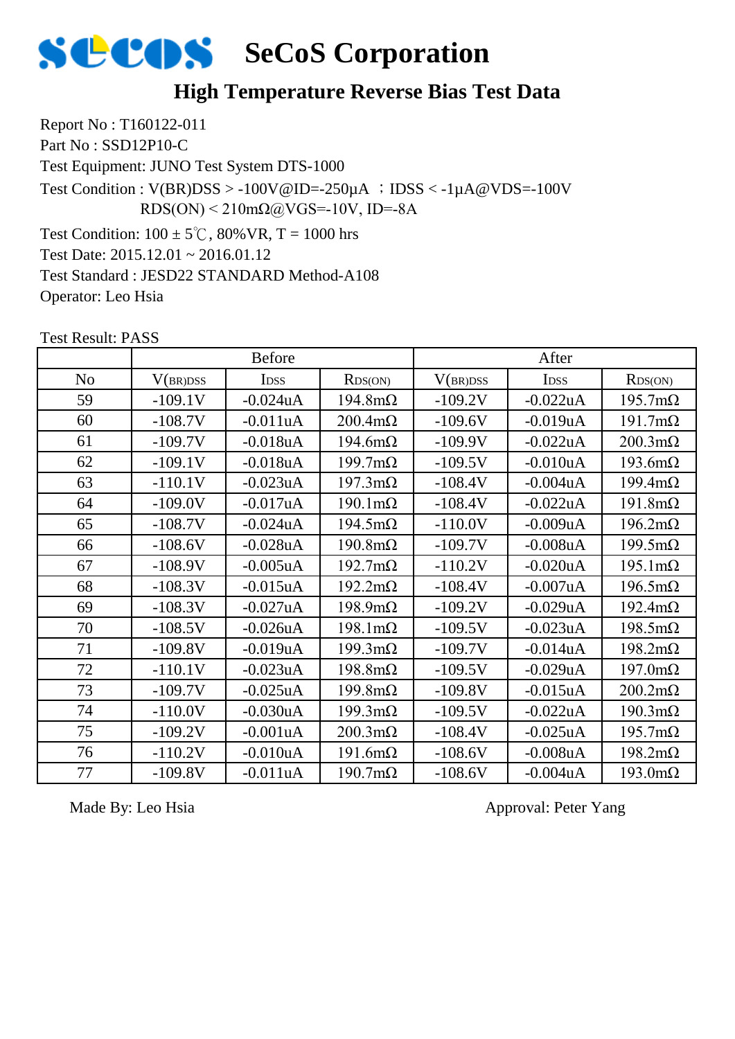

#### **High Temperature Reverse Bias Test Data**

Report No : T160122-011 Part No : SSD12P10-C Test Equipment: JUNO Test System DTS-1000 Test Condition:  $100 \pm 5^{\circ}$ C, 80% VR, T = 1000 hrs Test Date: 2015.12.01 ~ 2016.01.12 Test Standard : JESD22 STANDARD Method-A108 Test Condition :  $V(BR)DSS > -100V@ID = -250\mu A$  ;  $DSS < -1\mu A@VDS = -100V$  $RDS(ON) < 210 \text{m}\Omega$ @VGS=-10V, ID=-8A

Test Result: PASS

Operator: Leo Hsia

|                |           | <b>Before</b> |                        |           | After       |                        |
|----------------|-----------|---------------|------------------------|-----------|-------------|------------------------|
| N <sub>o</sub> | V(BR)DSS  | <b>IDSS</b>   | RDS(ON)                | V(BR)DSS  | <b>IDSS</b> | RDS(ON)                |
| 59             | $-109.1V$ | $-0.024uA$    | $194.8m\Omega$         | $-109.2V$ | $-0.022uA$  | $195.7 \text{m}\Omega$ |
| 60             | $-108.7V$ | $-0.011uA$    | $200.4 \text{m}\Omega$ | $-109.6V$ | $-0.019uA$  | $191.7 \text{m}\Omega$ |
| 61             | $-109.7V$ | $-0.018$ uA   | $194.6m\Omega$         | $-109.9V$ | $-0.022uA$  | $200.3 \text{m}\Omega$ |
| 62             | $-109.1V$ | $-0.018uA$    | $199.7 \text{m}\Omega$ | $-109.5V$ | $-0.010uA$  | $193.6m\Omega$         |
| 63             | $-110.1V$ | $-0.023uA$    | $197.3 \text{m}\Omega$ | $-108.4V$ | $-0.004uA$  | $199.4 \text{m}\Omega$ |
| 64             | $-109.0V$ | $-0.017uA$    | $190.1 \text{m}\Omega$ | $-108.4V$ | $-0.022uA$  | $191.8m\Omega$         |
| 65             | $-108.7V$ | $-0.024uA$    | $194.5 \text{m}\Omega$ | $-110.0V$ | $-0.009uA$  | $196.2 \text{m}\Omega$ |
| 66             | $-108.6V$ | $-0.028uA$    | $190.8 \text{m}\Omega$ | $-109.7V$ | $-0.008uA$  | $199.5 \text{m}\Omega$ |
| 67             | $-108.9V$ | $-0.005uA$    | $192.7 \text{m}\Omega$ | $-110.2V$ | $-0.020uA$  | $195.1 \text{m}\Omega$ |
| 68             | $-108.3V$ | $-0.015$ uA   | $192.2 \text{m}\Omega$ | $-108.4V$ | $-0.007uA$  | $196.5 \text{m}\Omega$ |
| 69             | $-108.3V$ | $-0.027uA$    | $198.9 \text{m}\Omega$ | $-109.2V$ | $-0.029uA$  | $192.4 \text{m}\Omega$ |
| 70             | $-108.5V$ | $-0.026$ uA   | $198.1 \text{m}\Omega$ | $-109.5V$ | $-0.023$ uA | $198.5 \text{m}\Omega$ |
| 71             | $-109.8V$ | $-0.019uA$    | $199.3 \text{m}\Omega$ | $-109.7V$ | $-0.014uA$  | $198.2 \text{m}\Omega$ |
| 72             | $-110.1V$ | $-0.023$ uA   | $198.8m\Omega$         | $-109.5V$ | $-0.029uA$  | $197.0 \text{m}\Omega$ |
| 73             | $-109.7V$ | $-0.025uA$    | $199.8 \text{m}\Omega$ | $-109.8V$ | $-0.015$ uA | $200.2 \text{m}\Omega$ |
| 74             | $-110.0V$ | $-0.030uA$    | $199.3 \text{m}\Omega$ | $-109.5V$ | $-0.022uA$  | $190.3 \text{m}\Omega$ |
| 75             | $-109.2V$ | $-0.001uA$    | $200.3 \text{m}\Omega$ | $-108.4V$ | $-0.025uA$  | $195.7 \text{m}\Omega$ |
| 76             | $-110.2V$ | $-0.010uA$    | $191.6m\Omega$         | $-108.6V$ | $-0.008uA$  | $198.2 \text{m}\Omega$ |
| 77             | $-109.8V$ | $-0.011uA$    | $190.7 \text{m}\Omega$ | $-108.6V$ | $-0.004uA$  | $193.0 \text{m}\Omega$ |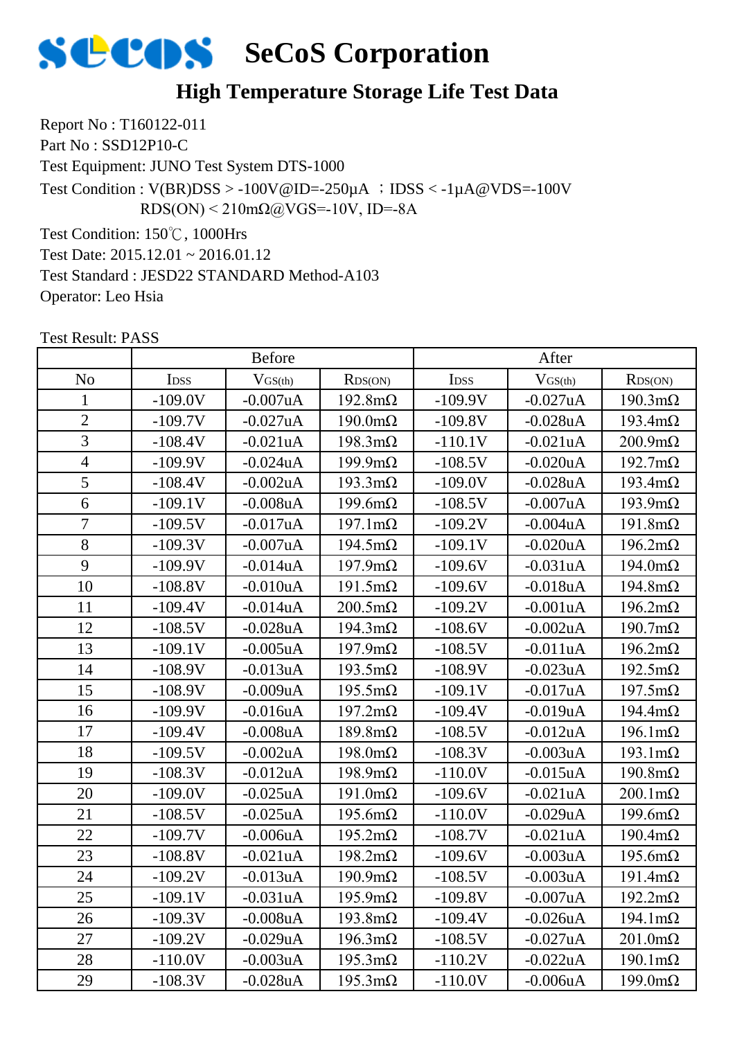

#### **High Temperature Storage Life Test Data**

Report No : T160122-011

Part No : SSD12P10-C

Test Equipment: JUNO Test System DTS-1000

Test Condition :  $V(BR)DSS > -100V@ID = -250\mu A$  ;  $DSS < -1\mu A@VDS = -100V$ RDS(ON) < 210mΩ@VGS=-10V, ID=-8A

Test Condition: 150℃, 1000Hrs

Test Date: 2015.12.01 ~ 2016.01.12

Test Standard : JESD22 STANDARD Method-A103

Operator: Leo Hsia

|                |                  | <b>Before</b>  |                        |                  | After          |                        |
|----------------|------------------|----------------|------------------------|------------------|----------------|------------------------|
| N <sub>o</sub> | I <sub>DSS</sub> | $V_{GS(th)}$   | RDS(ON)                | I <sub>DSS</sub> | $V_{GS(th)}$   | RDS(ON)                |
| 1              | $-109.0V$        | $-0.007uA$     | $192.8 \text{m}\Omega$ | $-109.9V$        | $-0.027uA$     | $190.3 \text{m}\Omega$ |
| $\overline{2}$ | $-109.7V$        | $-0.027uA$     | $190.0 \text{m}\Omega$ | $-109.8V$        | $-0.028uA$     | $193.4 \text{m}\Omega$ |
| 3              | $-108.4V$        | $-0.021uA$     | $198.3 \text{m}\Omega$ | $-110.1V$        | $-0.021uA$     | $200.9 \text{m}\Omega$ |
| $\overline{4}$ | $-109.9V$        | $-0.024uA$     | $199.9 \text{mA}$      | $-108.5V$        | $-0.020uA$     | $192.7 \text{m}\Omega$ |
| 5              | $-108.4V$        | $-0.002uA$     | $193.3 \text{mA}$      | $-109.0V$        | $-0.028uA$     | $193.4 \text{m}\Omega$ |
| 6              | $-109.1V$        | $-0.008uA$     | $199.6m\Omega$         | $-108.5V$        | $-0.007$ uA    | $193.9 \text{m}\Omega$ |
| $\overline{7}$ | $-109.5V$        | $-0.017uA$     | $197.1 \text{m}\Omega$ | $-109.2V$        | $-0.004uA$     | $191.8m\Omega$         |
| 8              | $-109.3V$        | $-0.007uA$     | $194.5 \text{m}\Omega$ | $-109.1V$        | $-0.020uA$     | $196.2 \text{m}\Omega$ |
| 9              | $-109.9V$        | $-0.014uA$     | $197.9 \text{m}\Omega$ | $-109.6V$        | $-0.031uA$     | $194.0 \text{m}\Omega$ |
| 10             | $-108.8V$        | $-0.010uA$     | $191.5 \text{m}\Omega$ | $-109.6V$        | $-0.018uA$     | $194.8m\Omega$         |
| 11             | $-109.4V$        | $-0.014uA$     | $200.5 \text{m}\Omega$ | $-109.2V$        | $-0.001uA$     | $196.2 \text{m}\Omega$ |
| 12             | $-108.5V$        | $-0.028uA$     | $194.3 \text{m}\Omega$ | $-108.6V$        | $-0.002uA$     | $190.7 \text{m}\Omega$ |
| 13             | $-109.1V$        | $-0.005uA$     | $197.9 \text{m}\Omega$ | $-108.5V$        | $-0.011uA$     | $196.2 \text{m}\Omega$ |
| 14             | $-108.9V$        | $-0.013uA$     | $193.5 \text{m}\Omega$ | $-108.9V$        | $-0.023uA$     | $192.5 \text{m}\Omega$ |
| 15             | $-108.9V$        | $-0.009uA$     | $195.5 \text{m}\Omega$ | $-109.1V$        | $-0.017uA$     | $197.5 \text{m}\Omega$ |
| 16             | $-109.9V$        | $-0.016uA$     | $197.2 \text{m}\Omega$ | $-109.4V$        | $-0.019uA$     | $194.4 \text{m}\Omega$ |
| 17             | $-109.4V$        | $-0.008uA$     | $189.8m\Omega$         | $-108.5V$        | $-0.012$ uA    | $196.1 \text{m}\Omega$ |
| 18             | $-109.5V$        | $-0.002uA$     | $198.0 \text{m}\Omega$ | $-108.3V$        | $-0.003uA$     | $193.1 \text{m}\Omega$ |
| 19             | $-108.3V$        | $-0.012uA$     | $198.9 \text{m}\Omega$ | $-110.0V$        | $-0.015$ uA    | $190.8 \text{m}\Omega$ |
| 20             | $-109.0V$        | $-0.025uA$     | $191.0 \text{m}\Omega$ | $-109.6V$        | $-0.021uA$     | $200.1 \text{m}\Omega$ |
| 21             | $-108.5V$        | $-0.025uA$     | $195.6m\Omega$         | $-110.0V$        | $-0.029uA$     | $199.6m\Omega$         |
| 22             | $-109.7V$        | $-0.006$ u $A$ | $195.2 \text{m}\Omega$ | $-108.7V$        | $-0.021uA$     | $190.4 \text{m}\Omega$ |
| 23             | $-108.8V$        | $-0.021uA$     | $198.2 \text{m}\Omega$ | $-109.6V$        | $-0.003uA$     | $195.6m\Omega$         |
| 24             | $-109.2V$        | $-0.013uA$     | $190.9 \text{m}\Omega$ | $-108.5V$        | $-0.003uA$     | $191.4 \text{m}\Omega$ |
| 25             | $-109.1V$        | $-0.031uA$     | $195.9 \text{m}\Omega$ | $-109.8V$        | $-0.007uA$     | $192.2 \text{m}\Omega$ |
| 26             | $-109.3V$        | $-0.008uA$     | $193.8 \text{m}\Omega$ | $-109.4V$        | $-0.026uA$     | $194.1 \text{m}\Omega$ |
| 27             | $-109.2V$        | $-0.029uA$     | $196.3 \text{m}\Omega$ | $-108.5V$        | $-0.027uA$     | $201.0 \text{m}\Omega$ |
| 28             | $-110.0V$        | $-0.003uA$     | $195.3 \text{m}\Omega$ | $-110.2V$        | $-0.022uA$     | $190.1 \text{m}\Omega$ |
| 29             | $-108.3V$        | $-0.028uA$     | $195.3 \text{mA}$      | $-110.0V$        | $-0.006$ u $A$ | $199.0 \text{mA}$      |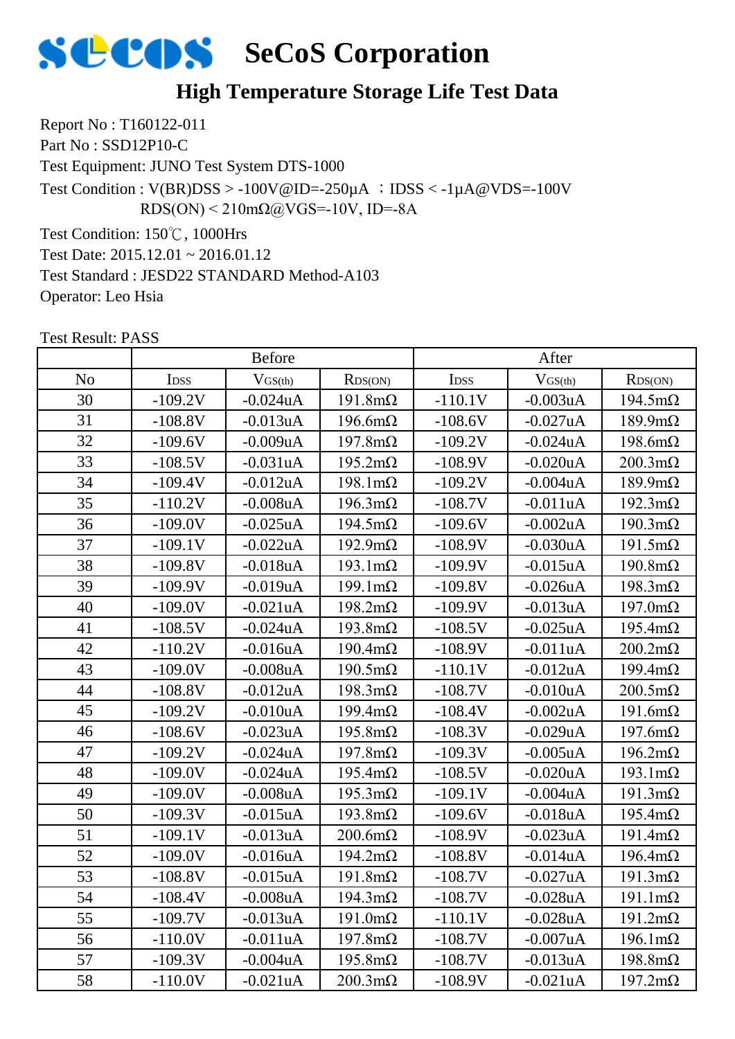

#### **High Temperature Storage Life Test Data**

Report No : T160122-011

Part No : SSD12P10-C

Test Equipment: JUNO Test System DTS-1000

Test Condition :  $V(BR)DSS > -100V@ID = -250\mu A$  ;  $DSS < -1\mu A@VDS = -100V$ RDS(ON) < 210mΩ@VGS=-10V, ID=-8A

Test Condition: 150℃, 1000Hrs

Test Date: 2015.12.01 ~ 2016.01.12

Test Standard : JESD22 STANDARD Method-A103

Operator: Leo Hsia

|                |             | <b>Before</b>  |                        |             | After        |                        |
|----------------|-------------|----------------|------------------------|-------------|--------------|------------------------|
| N <sub>o</sub> | <b>IDSS</b> | $V_{GS(th)}$   | RDS(ON)                | <b>IDSS</b> | $V_{GS(th)}$ | RDS(ON)                |
| 30             | $-109.2V$   | $-0.024$ u $A$ | $191.8m\Omega$         | $-110.1V$   | $-0.003uA$   | $194.5 \text{m}\Omega$ |
| 31             | $-108.8V$   | $-0.013uA$     | $196.6m\Omega$         | $-108.6V$   | $-0.027uA$   | $189.9 \text{m}\Omega$ |
| 32             | $-109.6V$   | $-0.009uA$     | $197.8m\Omega$         | $-109.2V$   | $-0.024uA$   | $198.6m\Omega$         |
| 33             | $-108.5V$   | $-0.031uA$     | $195.2 \text{m}\Omega$ | $-108.9V$   | $-0.020uA$   | $200.3 \text{m}\Omega$ |
| 34             | $-109.4V$   | $-0.012uA$     | $198.1 \text{m}\Omega$ | $-109.2V$   | $-0.004uA$   | $189.9 \text{m}\Omega$ |
| 35             | $-110.2V$   | $-0.008$ u $A$ | $196.3 \text{m}\Omega$ | $-108.7V$   | $-0.011uA$   | $192.3 \text{m}\Omega$ |
| 36             | $-109.0V$   | $-0.025uA$     | $194.5 \text{m}\Omega$ | $-109.6V$   | $-0.002uA$   | $190.3 \text{m}\Omega$ |
| 37             | $-109.1V$   | $-0.022uA$     | $192.9 \text{m}\Omega$ | $-108.9V$   | $-0.030uA$   | $191.5 \text{m}\Omega$ |
| 38             | $-109.8V$   | $-0.018uA$     | $193.1 \text{m}\Omega$ | $-109.9V$   | $-0.015$ uA  | $190.8 \text{m}\Omega$ |
| 39             | $-109.9V$   | $-0.019uA$     | $199.1 \text{m}\Omega$ | $-109.8V$   | $-0.026$ uA  | $198.3 \text{m}\Omega$ |
| 40             | $-109.0V$   | $-0.021uA$     | $198.2 \text{m}\Omega$ | $-109.9V$   | $-0.013uA$   | $197.0 \text{m}\Omega$ |
| 41             | $-108.5V$   | $-0.024uA$     | $193.8 \text{m}\Omega$ | $-108.5V$   | $-0.025$ uA  | $195.4 \text{m}\Omega$ |
| 42             | $-110.2V$   | $-0.016uA$     | $190.4 \text{m}\Omega$ | $-108.9V$   | $-0.011uA$   | $200.2 \text{m}\Omega$ |
| 43             | $-109.0V$   | $-0.008uA$     | $190.5 \text{m}\Omega$ | $-110.1V$   | $-0.012uA$   | $199.4 \text{m}\Omega$ |
| 44             | $-108.8V$   | $-0.012$ uA    | $198.3 \text{m}\Omega$ | $-108.7V$   | $-0.010uA$   | $200.5 \text{m}\Omega$ |
| 45             | $-109.2V$   | $-0.010uA$     | $199.4 \text{m}\Omega$ | $-108.4V$   | $-0.002uA$   | $191.6m\Omega$         |
| 46             | $-108.6V$   | $-0.023uA$     | $195.8 \text{m}\Omega$ | $-108.3V$   | $-0.029uA$   | $197.6m\Omega$         |
| 47             | $-109.2V$   | $-0.024uA$     | $197.8m\Omega$         | $-109.3V$   | $-0.005uA$   | $196.2 \text{m}\Omega$ |
| 48             | $-109.0V$   | $-0.024uA$     | $195.4 \text{m}\Omega$ | $-108.5V$   | $-0.020uA$   | $193.1 \text{m}\Omega$ |
| 49             | $-109.0V$   | $-0.008uA$     | $195.3 \text{m}\Omega$ | $-109.1V$   | $-0.004uA$   | $191.3 \text{m}\Omega$ |
| 50             | $-109.3V$   | $-0.015uA$     | $193.8 \text{m}\Omega$ | $-109.6V$   | $-0.018uA$   | $195.4 \text{m}\Omega$ |
| 51             | $-109.1V$   | $-0.013uA$     | $200.6m\Omega$         | $-108.9V$   | $-0.023uA$   | $191.4 \text{m}\Omega$ |
| 52             | $-109.0V$   | $-0.016uA$     | $194.2 \text{m}\Omega$ | $-108.8V$   | $-0.014uA$   | $196.4 \text{m}\Omega$ |
| 53             | $-108.8V$   | $-0.015uA$     | $191.8m\Omega$         | $-108.7V$   | $-0.027uA$   | $191.3 \text{m}\Omega$ |
| 54             | -108.4V     | -0.008uA       | $194.3 \text{m}\Omega$ | $-108.7V$   | $-0.028uA$   | $191.1 \text{m}\Omega$ |
| 55             | $-109.7V$   | $-0.013uA$     | $191.0 \text{m}\Omega$ | $-110.1V$   | $-0.028uA$   | $191.2 \text{m}\Omega$ |
| 56             | $-110.0V$   | $-0.011uA$     | $197.8m\Omega$         | $-108.7V$   | $-0.007uA$   | $196.1 \text{m}\Omega$ |
| 57             | $-109.3V$   | $-0.004uA$     | $195.8 \text{m}\Omega$ | $-108.7V$   | $-0.013uA$   | $198.8 \text{m}\Omega$ |
| 58             | $-110.0V$   | $-0.021uA$     | $200.3 \text{mA}$      | $-108.9V$   | $-0.021uA$   | $197.2 \text{m}\Omega$ |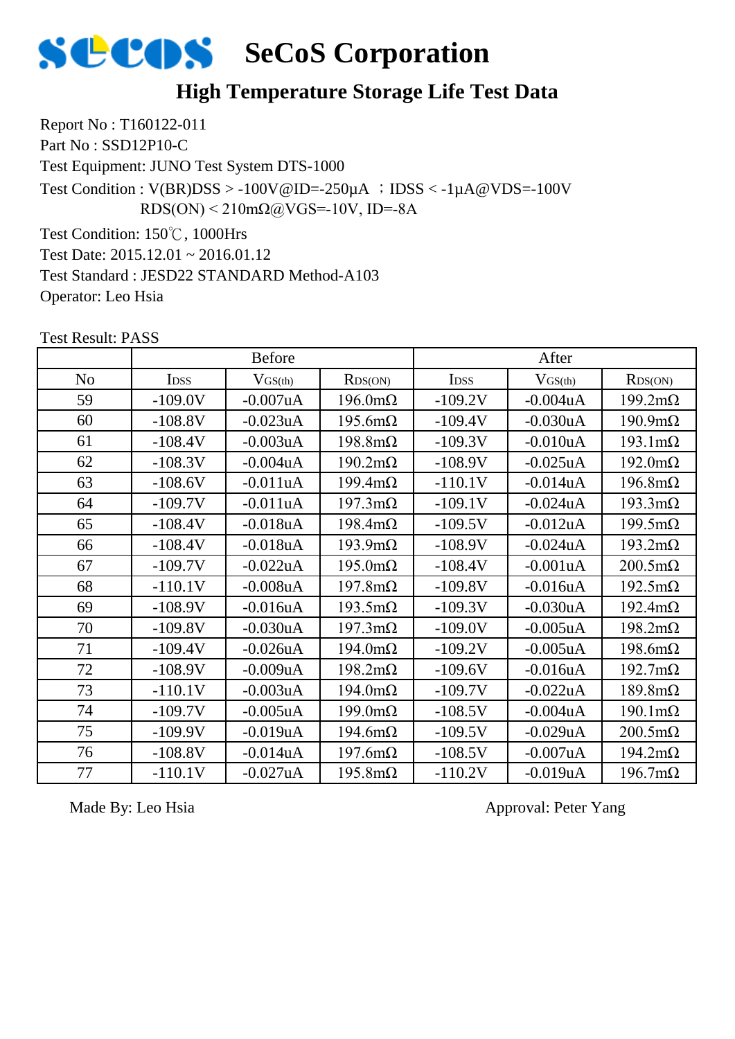

#### **High Temperature Storage Life Test Data**

Report No : T160122-011

Part No : SSD12P10-C

Test Equipment: JUNO Test System DTS-1000

Test Condition :  $V(BR)DSS > -100V@ID = -250\mu A$  ;  $DSS < -1\mu A@VDS = -100V$ RDS(ON) < 210mΩ@VGS=-10V, ID=-8A

Test Condition: 150℃, 1000Hrs

Test Date: 2015.12.01 ~ 2016.01.12

Test Standard : JESD22 STANDARD Method-A103

Operator: Leo Hsia

Test Result: PASS

|                |             | <b>Before</b> |                        |                  | After        |                        |
|----------------|-------------|---------------|------------------------|------------------|--------------|------------------------|
| N <sub>o</sub> | <b>IDSS</b> | $V_{GS(th)}$  | RDS(ON)                | I <sub>DSS</sub> | $V_{GS(th)}$ | RDS(ON)                |
| 59             | $-109.0V$   | $-0.007uA$    | $196.0 \text{m}\Omega$ | $-109.2V$        | $-0.004uA$   | $199.2 \text{m}\Omega$ |
| 60             | $-108.8V$   | $-0.023uA$    | $195.6m\Omega$         | $-109.4V$        | $-0.030uA$   | $190.9 \text{m}\Omega$ |
| 61             | $-108.4V$   | $-0.003uA$    | $198.8m\Omega$         | $-109.3V$        | $-0.010uA$   | $193.1 \text{m}\Omega$ |
| 62             | $-108.3V$   | $-0.004uA$    | $190.2 \text{m}\Omega$ | $-108.9V$        | $-0.025$ uA  | $192.0 \text{m}\Omega$ |
| 63             | $-108.6V$   | $-0.011uA$    | $199.4 \text{m}\Omega$ | $-110.1V$        | $-0.014uA$   | $196.8m\Omega$         |
| 64             | $-109.7V$   | $-0.011uA$    | $197.3 \text{m}\Omega$ | $-109.1V$        | $-0.024uA$   | $193.3 \text{mA}$      |
| 65             | $-108.4V$   | $-0.018uA$    | $198.4 \text{m}\Omega$ | $-109.5V$        | $-0.012uA$   | $199.5 \text{m}\Omega$ |
| 66             | $-108.4V$   | $-0.018uA$    | $193.9 \text{m}\Omega$ | $-108.9V$        | $-0.024uA$   | $193.2 \text{m}\Omega$ |
| 67             | $-109.7V$   | $-0.022uA$    | $195.0 \text{m}\Omega$ | $-108.4V$        | $-0.001uA$   | $200.5 \text{m}\Omega$ |
| 68             | $-110.1V$   | $-0.008uA$    | $197.8m\Omega$         | $-109.8V$        | $-0.016uA$   | $192.5 \text{m}\Omega$ |
| 69             | $-108.9V$   | $-0.016uA$    | $193.5 \text{m}\Omega$ | $-109.3V$        | $-0.030uA$   | $192.4 \text{m}\Omega$ |
| 70             | $-109.8V$   | $-0.030uA$    | $197.3 \text{m}\Omega$ | $-109.0V$        | $-0.005$ uA  | $198.2 \text{m}\Omega$ |
| 71             | $-109.4V$   | $-0.026$ uA   | $194.0 \text{m}\Omega$ | $-109.2V$        | $-0.005uA$   | $198.6m\Omega$         |
| 72             | $-108.9V$   | $-0.009uA$    | $198.2 \text{m}\Omega$ | $-109.6V$        | $-0.016uA$   | $192.7 \text{m}\Omega$ |
| 73             | $-110.1V$   | $-0.003uA$    | $194.0 \text{m}\Omega$ | $-109.7V$        | $-0.022uA$   | $189.8m\Omega$         |
| 74             | $-109.7V$   | $-0.005$ uA   | $199.0 \text{m}\Omega$ | $-108.5V$        | $-0.004uA$   | $190.1 \text{m}\Omega$ |
| 75             | $-109.9V$   | $-0.019uA$    | $194.6m\Omega$         | $-109.5V$        | $-0.029uA$   | $200.5 \text{m}\Omega$ |
| 76             | $-108.8V$   | $-0.014uA$    | $197.6m\Omega$         | $-108.5V$        | $-0.007uA$   | $194.2 \text{m}\Omega$ |
| 77             | $-110.1V$   | $-0.027uA$    | $195.8m\Omega$         | $-110.2V$        | $-0.019uA$   | $196.7 \text{m}\Omega$ |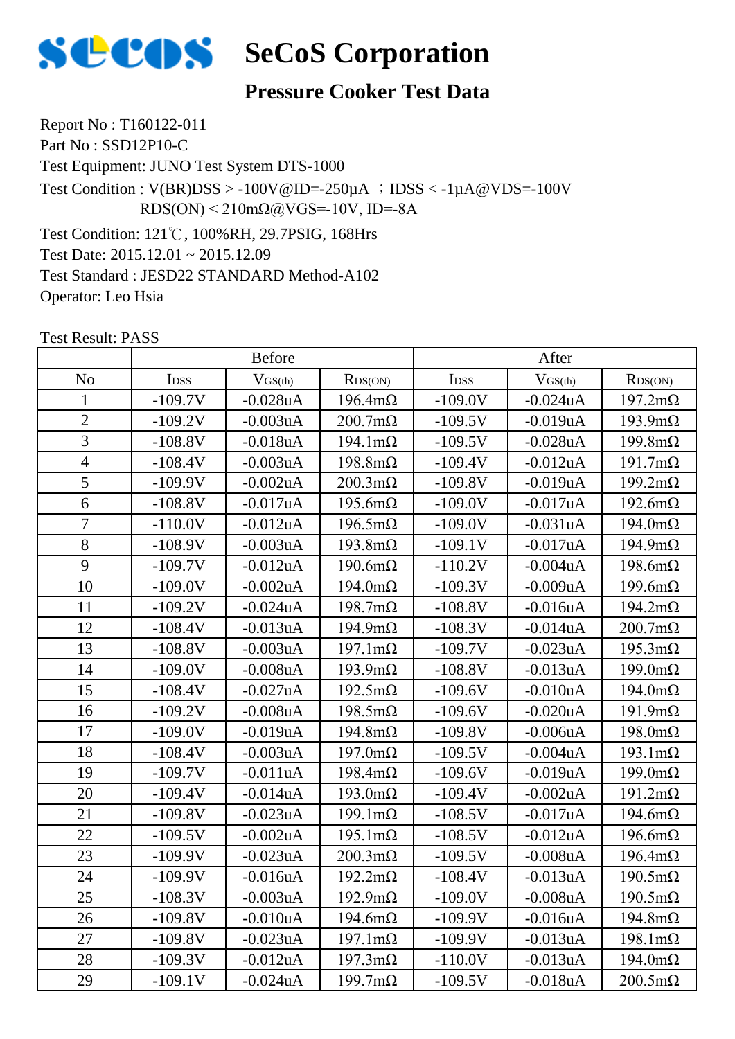

#### **Pressure Cooker Test Data**

Report No : T160122-011 Part No : SSD12P10-C Test Equipment: JUNO Test System DTS-1000 Test Condition: 121℃, 100%RH, 29.7PSIG, 168Hrs Test Date: 2015.12.01 ~ 2015.12.09 Test Condition :  $V(BR)DSS > -100V@ID = -250\mu A$  ;  $DSS < -1\mu A@VDS = -100V$ RDS(ON) < 210mΩ@VGS=-10V, ID=-8A

Test Standard : JESD22 STANDARD Method-A102

Operator: Leo Hsia

|                | <b>Before</b> |             |                        | After     |                |                        |
|----------------|---------------|-------------|------------------------|-----------|----------------|------------------------|
| N <sub>o</sub> | IDSS          | $V$ GS(th)  | RDS(ON)                | IDSS      | $V_{GS(th)}$   | RDS(ON)                |
| $\mathbf{1}$   | $-109.7V$     | $-0.028uA$  | $196.4 \text{m}\Omega$ | $-109.0V$ | $-0.024$ uA    | $197.2 \text{m}\Omega$ |
| $\overline{2}$ | $-109.2V$     | $-0.003uA$  | $200.7 \text{m}\Omega$ | $-109.5V$ | $-0.019$ u $A$ | $193.9 \text{m}\Omega$ |
| $\overline{3}$ | $-108.8V$     | $-0.018uA$  | $194.1 \text{m}\Omega$ | $-109.5V$ | $-0.028uA$     | $199.8 \text{m}\Omega$ |
| $\overline{4}$ | $-108.4V$     | $-0.003uA$  | $198.8 \text{m}\Omega$ | $-109.4V$ | $-0.012$ uA    | $191.7 \text{m}\Omega$ |
| 5              | $-109.9V$     | $-0.002uA$  | $200.3 \text{m}\Omega$ | $-109.8V$ | $-0.019$ u $A$ | $199.2 \text{m}\Omega$ |
| $\overline{6}$ | $-108.8V$     | $-0.017uA$  | $195.6 \text{m}\Omega$ | $-109.0V$ | $-0.017uA$     | $192.6 \text{m}\Omega$ |
| $\overline{7}$ | $-110.0V$     | $-0.012uA$  | $196.5 \text{m}\Omega$ | $-109.0V$ | $-0.031uA$     | $194.0 \text{m}\Omega$ |
| 8              | $-108.9V$     | $-0.003uA$  | $193.8 \text{m}\Omega$ | $-109.1V$ | $-0.017uA$     | $194.9 \text{m}\Omega$ |
| 9              | $-109.7V$     | $-0.012uA$  | $190.6m\Omega$         | $-110.2V$ | $-0.004uA$     | $198.6m\Omega$         |
| 10             | $-109.0V$     | $-0.002uA$  | $194.0 \text{m}\Omega$ | $-109.3V$ | $-0.009uA$     | $199.6 \text{m}\Omega$ |
| 11             | $-109.2V$     | $-0.024uA$  | $198.7 \text{m}\Omega$ | $-108.8V$ | $-0.016$ uA    | $194.2 \text{m}\Omega$ |
| 12             | $-108.4V$     | $-0.013uA$  | $194.9 \text{m}\Omega$ | $-108.3V$ | $-0.014uA$     | $200.7 \text{m}\Omega$ |
| 13             | $-108.8V$     | $-0.003uA$  | $197.1 \text{m}\Omega$ | $-109.7V$ | $-0.023uA$     | $195.3 \text{m}\Omega$ |
| 14             | $-109.0V$     | $-0.008uA$  | $193.9 \text{m}\Omega$ | $-108.8V$ | $-0.013uA$     | $199.0 \text{m}\Omega$ |
| 15             | $-108.4V$     | $-0.027uA$  | $192.5 \text{m}\Omega$ | $-109.6V$ | $-0.010uA$     | $194.0 \text{m}\Omega$ |
| 16             | $-109.2V$     | $-0.008$ uA | $198.5 \text{m}\Omega$ | $-109.6V$ | $-0.020uA$     | $191.9m\Omega$         |
| 17             | $-109.0V$     | $-0.019uA$  | $194.8m\Omega$         | $-109.8V$ | $-0.006$ u $A$ | $198.0 \text{m}\Omega$ |
| 18             | $-108.4V$     | $-0.003uA$  | $197.0 \text{m}\Omega$ | $-109.5V$ | $-0.004uA$     | $193.1 \text{m}\Omega$ |
| 19             | $-109.7V$     | $-0.011uA$  | $198.4 \text{m}\Omega$ | $-109.6V$ | $-0.019uA$     | $199.0 \text{m}\Omega$ |
| 20             | $-109.4V$     | $-0.014uA$  | $193.0 \text{m}\Omega$ | $-109.4V$ | $-0.002$ uA    | $191.2 \text{m}\Omega$ |
| 21             | $-109.8V$     | $-0.023uA$  | $199.1 \text{m}\Omega$ | $-108.5V$ | $-0.017uA$     | $194.6 \text{m}\Omega$ |
| 22             | $-109.5V$     | $-0.002uA$  | $195.1 \text{m}\Omega$ | $-108.5V$ | $-0.012$ uA    | $196.6m\Omega$         |
| 23             | $-109.9V$     | $-0.023uA$  | $200.3 \text{m}\Omega$ | $-109.5V$ | $-0.008$ u $A$ | $196.4 \text{m}\Omega$ |
| 24             | $-109.9V$     | $-0.016$ uA | $192.2 \text{m}\Omega$ | $-108.4V$ | $-0.013uA$     | $190.5 \text{m}\Omega$ |
| 25             | $-108.3V$     | $-0.003uA$  | $192.9 \text{m}\Omega$ | $-109.0V$ | $-0.008uA$     | $190.5 \text{m}\Omega$ |
| 26             | $-109.8V$     | $-0.010uA$  | $194.6m\Omega$         | $-109.9V$ | $-0.016uA$     | $194.8 \text{m}\Omega$ |
| 27             | $-109.8V$     | $-0.023uA$  | $197.1 \text{m}\Omega$ | $-109.9V$ | $-0.013uA$     | $198.1 \text{m}\Omega$ |
| 28             | $-109.3V$     | $-0.012uA$  | $197.3 \text{m}\Omega$ | $-110.0V$ | $-0.013uA$     | $194.0 \text{m}\Omega$ |
| 29             | $-109.1V$     | $-0.024uA$  | $199.7 \text{m}\Omega$ | $-109.5V$ | $-0.018$ uA    | $200.5 \text{m}\Omega$ |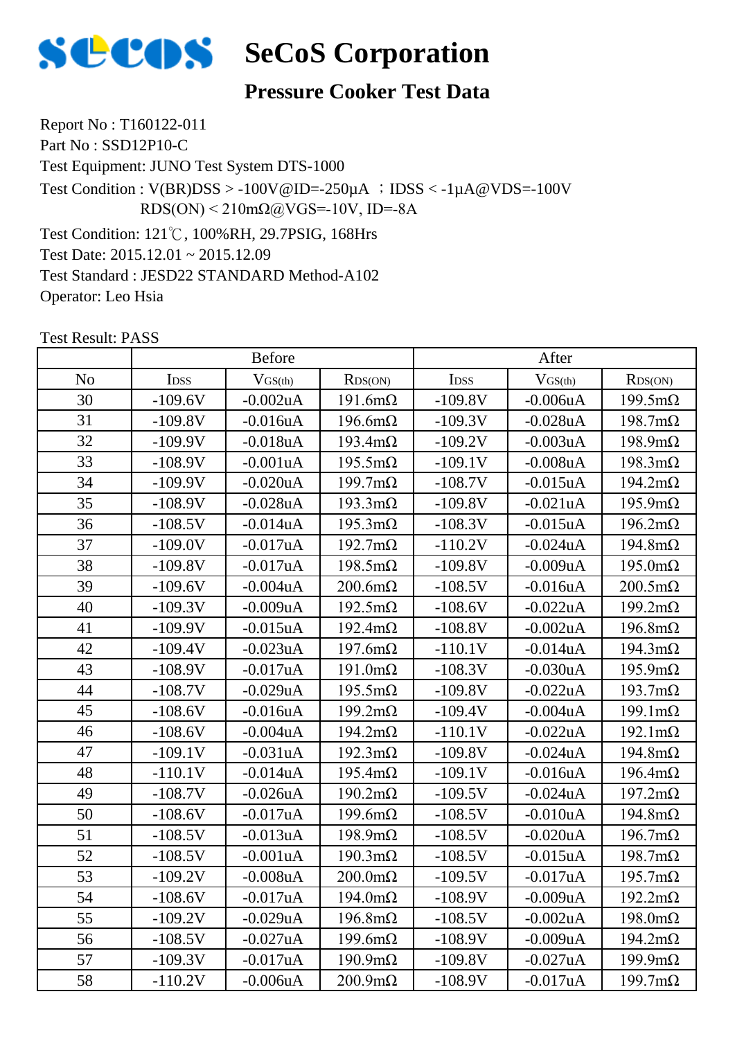

#### **Pressure Cooker Test Data**

Report No : T160122-011 Part No : SSD12P10-C Test Equipment: JUNO Test System DTS-1000 Test Condition: 121℃, 100%RH, 29.7PSIG, 168Hrs Test Date: 2015.12.01 ~ 2015.12.09 Test Condition :  $V(BR)DSS > -100V@ID = -250\mu A$  ;  $DSS < -1\mu A@VDS = -100V$ RDS(ON) < 210mΩ@VGS=-10V, ID=-8A

Test Standard : JESD22 STANDARD Method-A102

Operator: Leo Hsia

|                | <b>Before</b> |                |                        | After     |                |                        |
|----------------|---------------|----------------|------------------------|-----------|----------------|------------------------|
| N <sub>o</sub> | IDSS          | $V_{GS(th)}$   | RDS(ON)                | IDSS      | $V$ GS(th)     | RDS(ON)                |
| 30             | $-109.6V$     | $-0.002uA$     | $191.6m\Omega$         | $-109.8V$ | $-0.006$ u $A$ | $199.5 \text{m}\Omega$ |
| 31             | $-109.8V$     | $-0.016$ uA    | $196.6 \text{m}\Omega$ | $-109.3V$ | $-0.028uA$     | $198.7 \text{m}\Omega$ |
| 32             | $-109.9V$     | $-0.018uA$     | $193.4 \text{m}\Omega$ | $-109.2V$ | $-0.003uA$     | $198.9 \text{m}\Omega$ |
| 33             | $-108.9V$     | $-0.001uA$     | $195.5 \text{m}\Omega$ | $-109.1V$ | $-0.008uA$     | $198.3 \text{m}\Omega$ |
| 34             | $-109.9V$     | $-0.020uA$     | $199.7 \text{m}\Omega$ | $-108.7V$ | $-0.015uA$     | $194.2 \text{m}\Omega$ |
| 35             | $-108.9V$     | $-0.028$ uA    | $193.3 \text{m}\Omega$ | $-109.8V$ | $-0.021$ uA    | $195.9 \text{m}\Omega$ |
| 36             | $-108.5V$     | $-0.014uA$     | $195.3 \text{m}\Omega$ | $-108.3V$ | $-0.015uA$     | $196.2 \text{m}\Omega$ |
| 37             | $-109.0V$     | $-0.017uA$     | $192.7 \text{m}\Omega$ | $-110.2V$ | $-0.024uA$     | $194.8 \text{m}\Omega$ |
| 38             | $-109.8V$     | $-0.017uA$     | $198.5 \text{m}\Omega$ | $-109.8V$ | $-0.009uA$     | $195.0 \text{m}\Omega$ |
| 39             | $-109.6V$     | $-0.004uA$     | $200.6 \text{m}\Omega$ | $-108.5V$ | $-0.016uA$     | $200.5 \text{m}\Omega$ |
| 40             | $-109.3V$     | $-0.009uA$     | $192.5 \text{m}\Omega$ | $-108.6V$ | $-0.022uA$     | $199.2 \text{m}\Omega$ |
| 41             | $-109.9V$     | $-0.015uA$     | $192.4 \text{m}\Omega$ | $-108.8V$ | $-0.002uA$     | $196.8 \text{m}\Omega$ |
| 42             | $-109.4V$     | $-0.023uA$     | $197.6m\Omega$         | $-110.1V$ | $-0.014uA$     | $194.3 \text{m}\Omega$ |
| 43             | $-108.9V$     | $-0.017uA$     | $191.0 \text{m}\Omega$ | $-108.3V$ | $-0.030uA$     | $195.9 \text{m}\Omega$ |
| 44             | $-108.7V$     | $-0.029uA$     | $195.5 \text{m}\Omega$ | $-109.8V$ | $-0.022uA$     | $193.7 \text{m}\Omega$ |
| 45             | $-108.6V$     | $-0.016uA$     | $199.2 \text{m}\Omega$ | $-109.4V$ | $-0.004uA$     | $199.1 \text{m}\Omega$ |
| 46             | $-108.6V$     | $-0.004uA$     | $194.2 \text{m}\Omega$ | $-110.1V$ | $-0.022uA$     | $192.1 \text{m}\Omega$ |
| 47             | $-109.1V$     | $-0.031uA$     | $192.3 \text{m}\Omega$ | $-109.8V$ | $-0.024uA$     | $194.8 \text{m}\Omega$ |
| 48             | $-110.1V$     | $-0.014uA$     | $195.4 \text{m}\Omega$ | $-109.1V$ | $-0.016uA$     | $196.4 \text{m}\Omega$ |
| 49             | $-108.7V$     | $-0.026uA$     | $190.2 \text{m}\Omega$ | $-109.5V$ | $-0.024uA$     | $197.2 \text{m}\Omega$ |
| 50             | $-108.6V$     | $-0.017uA$     | $199.6m\Omega$         | $-108.5V$ | $-0.010uA$     | $194.8m\Omega$         |
| 51             | $-108.5V$     | $-0.013uA$     | $198.9 \text{m}\Omega$ | $-108.5V$ | $-0.020uA$     | $196.7 \text{m}\Omega$ |
| 52             | $-108.5V$     | $-0.001uA$     | $190.3 \text{m}\Omega$ | $-108.5V$ | $-0.015uA$     | $198.7 \text{m}\Omega$ |
| 53             | $-109.2V$     | $-0.008uA$     | $200.0 \text{m}\Omega$ | $-109.5V$ | $-0.017uA$     | $195.7 \text{m}\Omega$ |
| 54             | $-108.6V$     | $-0.017uA$     | $194.0 \text{m}\Omega$ | $-108.9V$ | $-0.009uA$     | $192.2 \text{m}\Omega$ |
| 55             | $-109.2V$     | $-0.029uA$     | $196.8 \text{m}\Omega$ | $-108.5V$ | $-0.002uA$     | $198.0 \text{m}\Omega$ |
| 56             | $-108.5V$     | $-0.027uA$     | $199.6m\Omega$         | $-108.9V$ | $-0.009uA$     | $194.2 \text{m}\Omega$ |
| 57             | $-109.3V$     | $-0.017uA$     | $190.9 \text{m}\Omega$ | $-109.8V$ | $-0.027uA$     | $199.9 \text{mA}$      |
| 58             | $-110.2V$     | $-0.006$ u $A$ | $200.9 \text{m}\Omega$ | $-108.9V$ | $-0.017uA$     | $199.7 \text{m}\Omega$ |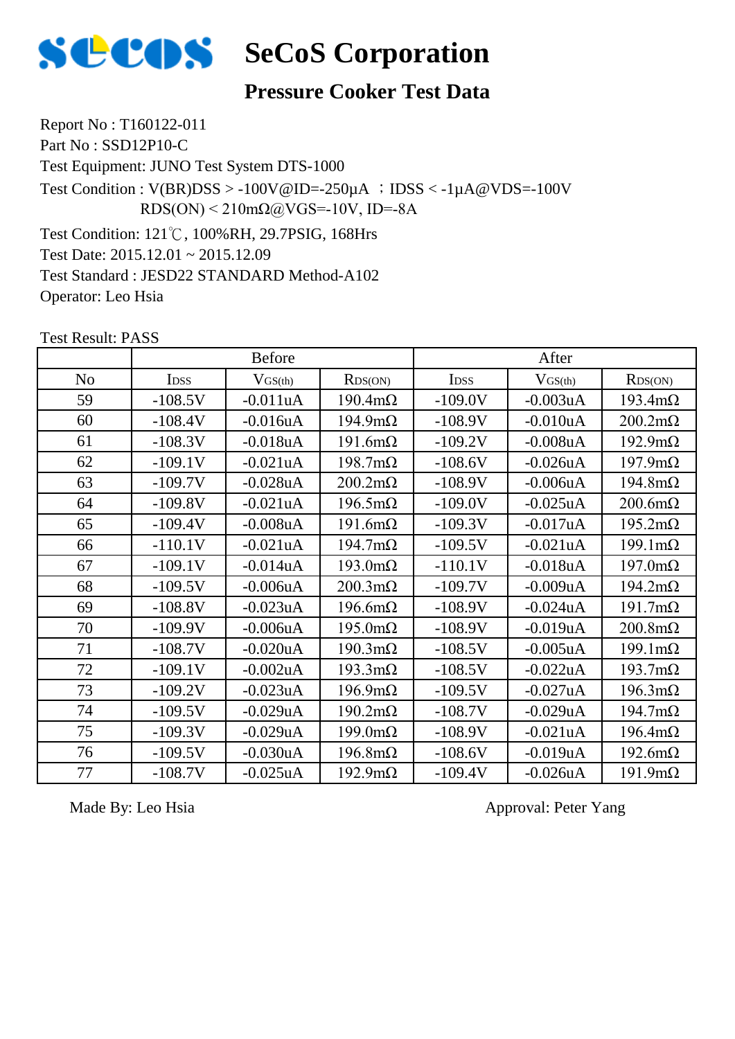

#### **Pressure Cooker Test Data**

Report No : T160122-011 Part No : SSD12P10-C Test Equipment: JUNO Test System DTS-1000 Test Condition: 121℃, 100%RH, 29.7PSIG, 168Hrs Test Date: 2015.12.01 ~ 2015.12.09 Test Condition :  $V(BR)DSS > -100V@ID = -250\mu A$  ;  $DSS < -1\mu A@VDS = -100V$ RDS(ON) < 210mΩ@VGS=-10V, ID=-8A

Test Standard : JESD22 STANDARD Method-A102

Operator: Leo Hsia

Test Result: PASS

|                |                  | <b>Before</b>  |                        |             | After          |                        |  |
|----------------|------------------|----------------|------------------------|-------------|----------------|------------------------|--|
| N <sub>o</sub> | I <sub>DSS</sub> | $V_{GS(th)}$   | RDS(ON)                | <b>IDSS</b> | $V_{GS(th)}$   | RDS(ON)                |  |
| 59             | $-108.5V$        | $-0.011uA$     | $190.4 \text{m}\Omega$ | $-109.0V$   | $-0.003uA$     | $193.4 \text{m}\Omega$ |  |
| 60             | $-108.4V$        | $-0.016uA$     | $194.9 \text{m}\Omega$ | $-108.9V$   | $-0.010uA$     | $200.2 \text{m}\Omega$ |  |
| 61             | $-108.3V$        | $-0.018uA$     | $191.6m\Omega$         | $-109.2V$   | $-0.008uA$     | $192.9 \text{m}\Omega$ |  |
| 62             | $-109.1V$        | $-0.021uA$     | $198.7 \text{m}\Omega$ | $-108.6V$   | $-0.026$ uA    | $197.9 \text{m}\Omega$ |  |
| 63             | $-109.7V$        | $-0.028$ u $A$ | $200.2 \text{m}\Omega$ | $-108.9V$   | $-0.006uA$     | $194.8m\Omega$         |  |
| 64             | $-109.8V$        | $-0.021uA$     | $196.5 \text{m}\Omega$ | $-109.0V$   | $-0.025uA$     | $200.6m\Omega$         |  |
| 65             | $-109.4V$        | $-0.008$ u $A$ | $191.6m\Omega$         | $-109.3V$   | $-0.017uA$     | $195.2 \text{m}\Omega$ |  |
| 66             | $-110.1V$        | $-0.021uA$     | $194.7 \text{m}\Omega$ | $-109.5V$   | $-0.021uA$     | $199.1 \text{m}\Omega$ |  |
| 67             | $-109.1V$        | $-0.014uA$     | $193.0 \text{m}\Omega$ | $-110.1V$   | $-0.018uA$     | $197.0 \text{m}\Omega$ |  |
| 68             | $-109.5V$        | $-0.006uA$     | $200.3 \text{m}\Omega$ | $-109.7V$   | $-0.009uA$     | $194.2 \text{m}\Omega$ |  |
| 69             | $-108.8V$        | $-0.023uA$     | $196.6m\Omega$         | $-108.9V$   | $-0.024uA$     | $191.7 \text{m}\Omega$ |  |
| 70             | $-109.9V$        | $-0.006$ u $A$ | $195.0 \text{m}\Omega$ | $-108.9V$   | $-0.019uA$     | $200.8 \text{m}\Omega$ |  |
| 71             | $-108.7V$        | $-0.020uA$     | $190.3 \text{m}\Omega$ | $-108.5V$   | $-0.005uA$     | $199.1 \text{m}\Omega$ |  |
| 72             | $-109.1V$        | $-0.002uA$     | $193.3 \text{mA}$      | $-108.5V$   | $-0.022uA$     | $193.7 \text{m}\Omega$ |  |
| 73             | $-109.2V$        | $-0.023uA$     | $196.9 \text{m}\Omega$ | $-109.5V$   | $-0.027uA$     | $196.3 \text{m}\Omega$ |  |
| 74             | $-109.5V$        | $-0.029uA$     | $190.2 \text{m}\Omega$ | $-108.7V$   | $-0.029uA$     | $194.7 \text{m}\Omega$ |  |
| 75             | $-109.3V$        | $-0.029uA$     | $199.0 \text{m}\Omega$ | $-108.9V$   | $-0.021$ uA    | $196.4 \text{m}\Omega$ |  |
| 76             | $-109.5V$        | $-0.030uA$     | $196.8m\Omega$         | $-108.6V$   | $-0.019uA$     | $192.6 \text{m}\Omega$ |  |
| 77             | $-108.7V$        | $-0.025$ uA    | $192.9 \text{m}\Omega$ | $-109.4V$   | $-0.026$ u $A$ | $191.9m\Omega$         |  |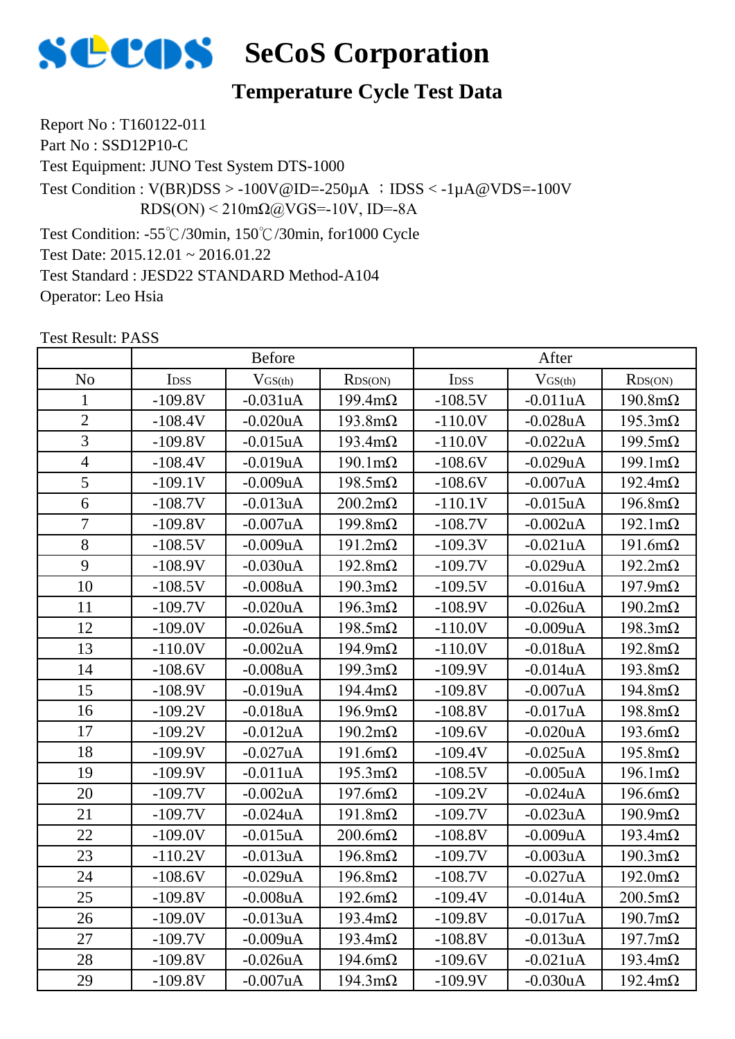

#### **Temperature Cycle Test Data**

Report No : T160122-011

Part No : SSD12P10-C

Test Equipment: JUNO Test System DTS-1000

Test Condition :  $V(BR)DSS > -100V@ID = -250\mu A$  ;  $DSS < -1\mu A@VDS = -100V$ RDS(ON) < 210mΩ@VGS=-10V, ID=-8A

Test Condition: -55℃/30min, 150℃/30min, for1000 Cycle

Test Date: 2015.12.01 ~ 2016.01.22

Test Standard : JESD22 STANDARD Method-A104

Operator: Leo Hsia

|                | <b>Before</b> |             |                        | After     |             |                        |
|----------------|---------------|-------------|------------------------|-----------|-------------|------------------------|
| N <sub>o</sub> | IDSS          | $V$ GS(th)  | RDS(ON)                | IDSS      | $V$ GS(th)  | RDS(ON)                |
| $\mathbf{1}$   | $-109.8V$     | $-0.031uA$  | $199.4 \text{m}\Omega$ | $-108.5V$ | $-0.011uA$  | $190.8 \text{m}\Omega$ |
| $\overline{2}$ | $-108.4V$     | $-0.020uA$  | $193.8 \text{m}\Omega$ | $-110.0V$ | $-0.028uA$  | $195.3 \text{m}\Omega$ |
| $\overline{3}$ | $-109.8V$     | $-0.015uA$  | $193.4 \text{m}\Omega$ | $-110.0V$ | $-0.022uA$  | $199.5 \text{m}\Omega$ |
| $\overline{4}$ | $-108.4V$     | $-0.019uA$  | $190.1 \text{m}\Omega$ | $-108.6V$ | $-0.029uA$  | $199.1 \text{m}\Omega$ |
| 5              | $-109.1V$     | $-0.009uA$  | $198.5 \text{m}\Omega$ | $-108.6V$ | $-0.007uA$  | $192.4 \text{m}\Omega$ |
| $\overline{6}$ | $-108.7V$     | $-0.013uA$  | $200.2 \text{m}\Omega$ | $-110.1V$ | $-0.015$ uA | $196.8 \text{m}\Omega$ |
| $\overline{7}$ | $-109.8V$     | $-0.007uA$  | $199.8 \text{m}\Omega$ | $-108.7V$ | $-0.002uA$  | $192.1 \text{m}\Omega$ |
| 8              | $-108.5V$     | $-0.009uA$  | $191.2 \text{m}\Omega$ | $-109.3V$ | $-0.021uA$  | $191.6m\Omega$         |
| 9              | $-108.9V$     | $-0.030uA$  | $192.8 \text{m}\Omega$ | $-109.7V$ | $-0.029uA$  | $192.2 \text{m}\Omega$ |
| 10             | $-108.5V$     | $-0.008uA$  | $190.3 \text{m}\Omega$ | $-109.5V$ | $-0.016$ uA | $197.9 \text{m}\Omega$ |
| 11             | $-109.7V$     | $-0.020uA$  | $196.3 \text{m}\Omega$ | $-108.9V$ | $-0.026$ uA | $190.2 \text{m}\Omega$ |
| 12             | $-109.0V$     | $-0.026$ uA | $198.5 \text{m}\Omega$ | $-110.0V$ | $-0.009uA$  | $198.3 \text{m}\Omega$ |
| 13             | $-110.0V$     | $-0.002$ uA | $194.9 \text{m}\Omega$ | $-110.0V$ | $-0.018uA$  | $192.8 \text{m}\Omega$ |
| 14             | $-108.6V$     | $-0.008uA$  | $199.3 \text{m}\Omega$ | $-109.9V$ | $-0.014uA$  | $193.8 \text{m}\Omega$ |
| 15             | $-108.9V$     | $-0.019uA$  | $194.4 \text{m}\Omega$ | $-109.8V$ | $-0.007uA$  | $194.8 \text{m}\Omega$ |
| 16             | $-109.2V$     | $-0.018uA$  | $196.9 \text{m}\Omega$ | $-108.8V$ | $-0.017uA$  | $198.8 \text{m}\Omega$ |
| 17             | $-109.2V$     | $-0.012uA$  | $190.2 \text{m}\Omega$ | $-109.6V$ | $-0.020uA$  | $193.6m\Omega$         |
| 18             | $-109.9V$     | $-0.027uA$  | $191.6m\Omega$         | $-109.4V$ | $-0.025uA$  | $195.8m\Omega$         |
| 19             | $-109.9V$     | $-0.011uA$  | $195.3 \text{m}\Omega$ | $-108.5V$ | $-0.005uA$  | $196.1 \text{m}\Omega$ |
| 20             | $-109.7V$     | $-0.002uA$  | $197.6 \text{m}\Omega$ | $-109.2V$ | $-0.024uA$  | $196.6m\Omega$         |
| 21             | $-109.7V$     | $-0.024uA$  | $191.8 \text{m}\Omega$ | $-109.7V$ | $-0.023uA$  | $190.9 \text{m}\Omega$ |
| 22             | $-109.0V$     | $-0.015uA$  | $200.6m\Omega$         | $-108.8V$ | $-0.009uA$  | $193.4 \text{m}\Omega$ |
| 23             | $-110.2V$     | $-0.013uA$  | $196.8 \text{m}\Omega$ | $-109.7V$ | $-0.003uA$  | $190.3 \text{m}\Omega$ |
| 24             | $-108.6V$     | $-0.029uA$  | $196.8 \text{m}\Omega$ | $-108.7V$ | $-0.027uA$  | $192.0 \text{m}\Omega$ |
| 25             | $-109.8V$     | $-0.008uA$  | $192.6 \text{m}\Omega$ | $-109.4V$ | $-0.014uA$  | $200.5 \text{m}\Omega$ |
| 26             | $-109.0V$     | $-0.013uA$  | $193.4 \text{m}\Omega$ | $-109.8V$ | $-0.017uA$  | $190.7 \text{m}\Omega$ |
| 27             | $-109.7V$     | $-0.009uA$  | $193.4 \text{m}\Omega$ | $-108.8V$ | $-0.013uA$  | $197.7 \text{m}\Omega$ |
| 28             | $-109.8V$     | $-0.026$ uA | $194.6m\Omega$         | $-109.6V$ | $-0.021uA$  | $193.4 \text{m}\Omega$ |
| 29             | $-109.8V$     | $-0.007uA$  | $194.3 \text{m}\Omega$ | $-109.9V$ | $-0.030uA$  | $192.4 \text{m}\Omega$ |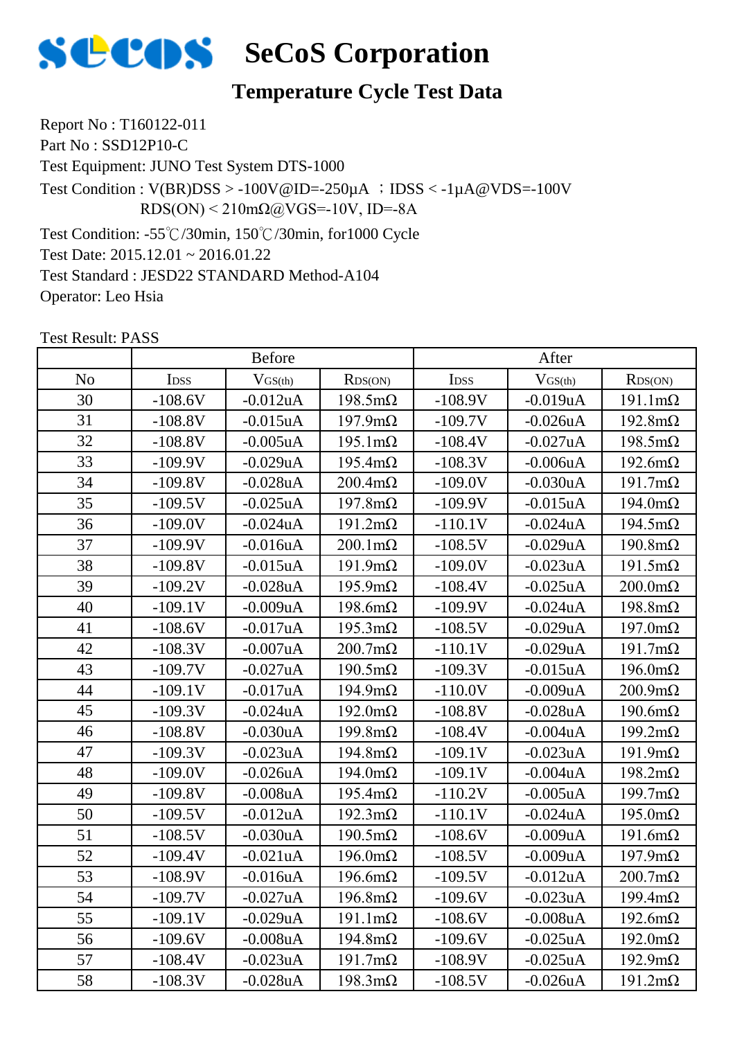

#### **Temperature Cycle Test Data**

Report No : T160122-011

Part No : SSD12P10-C

Test Equipment: JUNO Test System DTS-1000

Test Condition :  $V(BR)DSS > -100V@ID = -250\mu A$  ;  $DSS < -1\mu A@VDS = -100V$ RDS(ON) < 210mΩ@VGS=-10V, ID=-8A

Test Condition: -55℃/30min, 150℃/30min, for1000 Cycle

Test Date: 2015.12.01 ~ 2016.01.22

Test Standard : JESD22 STANDARD Method-A104

Operator: Leo Hsia

|                | <b>Before</b> |              |                        | After     |                |                        |
|----------------|---------------|--------------|------------------------|-----------|----------------|------------------------|
| N <sub>o</sub> | IDSS          | $V_{GS(th)}$ | RDS(ON)                | IDSS      | $V$ GS(th)     | RDS(ON)                |
| 30             | $-108.6V$     | $-0.012$ uA  | $198.5 \text{m}\Omega$ | $-108.9V$ | $-0.019$ uA    | $191.1 \text{m}\Omega$ |
| 31             | $-108.8V$     | $-0.015uA$   | $197.9 \text{m}\Omega$ | $-109.7V$ | $-0.026$ u $A$ | $192.8 \text{m}\Omega$ |
| 32             | $-108.8V$     | $-0.005uA$   | $195.1 \text{m}\Omega$ | $-108.4V$ | $-0.027uA$     | $198.5 \text{m}\Omega$ |
| 33             | $-109.9V$     | $-0.029uA$   | $195.4 \text{m}\Omega$ | $-108.3V$ | $-0.006uA$     | $192.6 \text{m}\Omega$ |
| 34             | $-109.8V$     | $-0.028uA$   | $200.4m\Omega$         | $-109.0V$ | $-0.030uA$     | $191.7 \text{m}\Omega$ |
| 35             | $-109.5V$     | $-0.025uA$   | $197.8 \text{m}\Omega$ | $-109.9V$ | $-0.015$ uA    | $194.0 \text{m}\Omega$ |
| 36             | $-109.0V$     | $-0.024uA$   | $191.2 \text{m}\Omega$ | $-110.1V$ | $-0.024uA$     | $194.5 \text{m}\Omega$ |
| 37             | $-109.9V$     | $-0.016$ uA  | $200.1 \text{m}\Omega$ | $-108.5V$ | $-0.029uA$     | $190.8 \text{m}\Omega$ |
| 38             | $-109.8V$     | $-0.015$ uA  | $191.9m\Omega$         | $-109.0V$ | $-0.023uA$     | $191.5 \text{m}\Omega$ |
| 39             | $-109.2V$     | $-0.028uA$   | $195.9 \text{m}\Omega$ | $-108.4V$ | $-0.025uA$     | $200.0 \text{m}\Omega$ |
| 40             | $-109.1V$     | $-0.009uA$   | $198.6m\Omega$         | $-109.9V$ | $-0.024$ u $A$ | $198.8 \text{m}\Omega$ |
| 41             | $-108.6V$     | $-0.017uA$   | $195.3 \text{m}\Omega$ | $-108.5V$ | $-0.029uA$     | $197.0 \text{m}\Omega$ |
| 42             | $-108.3V$     | $-0.007uA$   | $200.7 \text{m}\Omega$ | $-110.1V$ | $-0.029uA$     | $191.7 \text{m}\Omega$ |
| 43             | $-109.7V$     | $-0.027uA$   | $190.5 \text{m}\Omega$ | $-109.3V$ | $-0.015$ uA    | $196.0 \text{m}\Omega$ |
| 44             | $-109.1V$     | $-0.017uA$   | $194.9 \text{m}\Omega$ | $-110.0V$ | $-0.009uA$     | $200.9 \text{m}\Omega$ |
| 45             | $-109.3V$     | $-0.024uA$   | $192.0 \text{m}\Omega$ | $-108.8V$ | $-0.028$ u $A$ | $190.6m\Omega$         |
| 46             | $-108.8V$     | $-0.030uA$   | $199.8 \text{m}\Omega$ | $-108.4V$ | $-0.004uA$     | $199.2 \text{m}\Omega$ |
| 47             | $-109.3V$     | $-0.023uA$   | $194.8 \text{m}\Omega$ | $-109.1V$ | $-0.023uA$     | $191.9m\Omega$         |
| 48             | $-109.0V$     | $-0.026$ uA  | $194.0 \text{m}\Omega$ | $-109.1V$ | $-0.004uA$     | $198.2 \text{m}\Omega$ |
| 49             | $-109.8V$     | $-0.008uA$   | $195.4 \text{m}\Omega$ | $-110.2V$ | $-0.005$ uA    | $199.7 \text{m}\Omega$ |
| 50             | $-109.5V$     | $-0.012uA$   | $192.3 \text{m}\Omega$ | $-110.1V$ | $-0.024$ u $A$ | $195.0 \text{m}\Omega$ |
| 51             | $-108.5V$     | $-0.030uA$   | $190.5 \text{m}\Omega$ | $-108.6V$ | $-0.009uA$     | $191.6m\Omega$         |
| 52             | $-109.4V$     | $-0.021uA$   | $196.0 \text{m}\Omega$ | $-108.5V$ | $-0.009uA$     | $197.9 \text{m}\Omega$ |
| 53             | $-108.9V$     | $-0.016$ uA  | $196.6m\Omega$         | $-109.5V$ | $-0.012$ uA    | $200.7 \text{m}\Omega$ |
| 54             | $-109.7V$     | $-0.027uA$   | $196.8 \text{m}\Omega$ | $-109.6V$ | $-0.023uA$     | $199.4 \text{m}\Omega$ |
| 55             | $-109.1V$     | $-0.029uA$   | $191.1 \text{m}\Omega$ | $-108.6V$ | $-0.008$ u $A$ | $192.6 \text{m}\Omega$ |
| 56             | $-109.6V$     | $-0.008uA$   | $194.8 \text{m}\Omega$ | $-109.6V$ | $-0.025uA$     | $192.0 \text{m}\Omega$ |
| 57             | $-108.4V$     | $-0.023uA$   | $191.7 \text{m}\Omega$ | $-108.9V$ | $-0.025uA$     | $192.9 \text{m}\Omega$ |
| 58             | $-108.3V$     | $-0.028uA$   | $198.3 \text{m}\Omega$ | $-108.5V$ | $-0.026$ u $A$ | $191.2 \text{m}\Omega$ |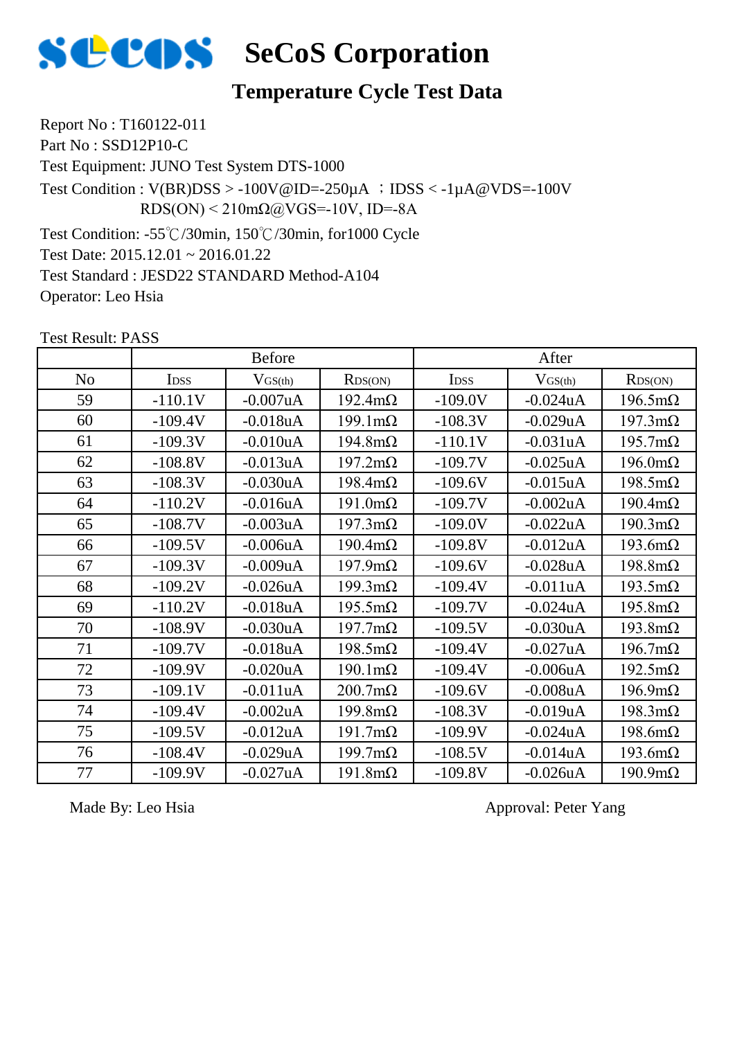

#### **Temperature Cycle Test Data**

Report No : T160122-011

Part No : SSD12P10-C

Test Equipment: JUNO Test System DTS-1000

Test Condition :  $V(BR)DSS > -100V@ID = -250\mu A$  ;  $DSS < -1\mu A@VDS = -100V$ RDS(ON) < 210mΩ@VGS=-10V, ID=-8A

Test Condition: -55℃/30min, 150℃/30min, for1000 Cycle

Test Date: 2015.12.01 ~ 2016.01.22

Test Standard : JESD22 STANDARD Method-A104

Operator: Leo Hsia

Test Result: PASS

|                | <b>Before</b>    |                |                        | After       |              |                        |
|----------------|------------------|----------------|------------------------|-------------|--------------|------------------------|
| N <sub>o</sub> | I <sub>DSS</sub> | $V$ GS(th)     | RDS(ON)                | <b>IDSS</b> | $V_{GS(th)}$ | RDS(ON)                |
| 59             | $-110.1V$        | $-0.007uA$     | $192.4 \text{m}\Omega$ | $-109.0V$   | $-0.024uA$   | $196.5 \text{m}\Omega$ |
| 60             | $-109.4V$        | $-0.018uA$     | $199.1 \text{m}\Omega$ | $-108.3V$   | $-0.029uA$   | $197.3 \text{m}\Omega$ |
| 61             | $-109.3V$        | $-0.010uA$     | $194.8m\Omega$         | $-110.1V$   | $-0.031uA$   | $195.7 \text{m}\Omega$ |
| 62             | $-108.8V$        | $-0.013uA$     | $197.2 \text{m}\Omega$ | $-109.7V$   | $-0.025$ uA  | $196.0 \text{m}\Omega$ |
| 63             | $-108.3V$        | $-0.030uA$     | $198.4 \text{m}\Omega$ | $-109.6V$   | $-0.015uA$   | $198.5 \text{m}\Omega$ |
| 64             | $-110.2V$        | $-0.016uA$     | $191.0 \text{m}\Omega$ | $-109.7V$   | $-0.002uA$   | $190.4 \text{m}\Omega$ |
| 65             | $-108.7V$        | $-0.003uA$     | $197.3 \text{m}\Omega$ | $-109.0V$   | $-0.022uA$   | $190.3 \text{m}\Omega$ |
| 66             | $-109.5V$        | $-0.006uA$     | $190.4 \text{m}\Omega$ | $-109.8V$   | $-0.012uA$   | $193.6m\Omega$         |
| 67             | $-109.3V$        | $-0.009uA$     | $197.9 \text{m}\Omega$ | $-109.6V$   | $-0.028uA$   | $198.8m\Omega$         |
| 68             | $-109.2V$        | $-0.026$ u $A$ | $199.3 \text{m}\Omega$ | $-109.4V$   | $-0.011uA$   | $193.5 \text{m}\Omega$ |
| 69             | $-110.2V$        | $-0.018uA$     | $195.5 \text{m}\Omega$ | $-109.7V$   | $-0.024uA$   | $195.8m\Omega$         |
| 70             | $-108.9V$        | $-0.030uA$     | $197.7 \text{m}\Omega$ | $-109.5V$   | $-0.030uA$   | $193.8 \text{m}\Omega$ |
| 71             | $-109.7V$        | $-0.018uA$     | $198.5 \text{m}\Omega$ | $-109.4V$   | $-0.027uA$   | $196.7 \text{m}\Omega$ |
| 72             | $-109.9V$        | $-0.020uA$     | $190.1 \text{m}\Omega$ | $-109.4V$   | $-0.006uA$   | $192.5 \text{m}\Omega$ |
| 73             | $-109.1V$        | $-0.011uA$     | $200.7 \text{m}\Omega$ | $-109.6V$   | $-0.008uA$   | $196.9 \text{m}\Omega$ |
| 74             | $-109.4V$        | $-0.002uA$     | $199.8m\Omega$         | $-108.3V$   | $-0.019uA$   | $198.3 \text{m}\Omega$ |
| 75             | $-109.5V$        | $-0.012$ uA    | $191.7 \text{m}\Omega$ | $-109.9V$   | $-0.024uA$   | $198.6m\Omega$         |
| 76             | $-108.4V$        | $-0.029uA$     | $199.7 \text{m}\Omega$ | $-108.5V$   | $-0.014uA$   | $193.6 \text{m}\Omega$ |
| 77             | $-109.9V$        | $-0.027uA$     | $191.8m\Omega$         | $-109.8V$   | $-0.026$ uA  | $190.9 \text{m}\Omega$ |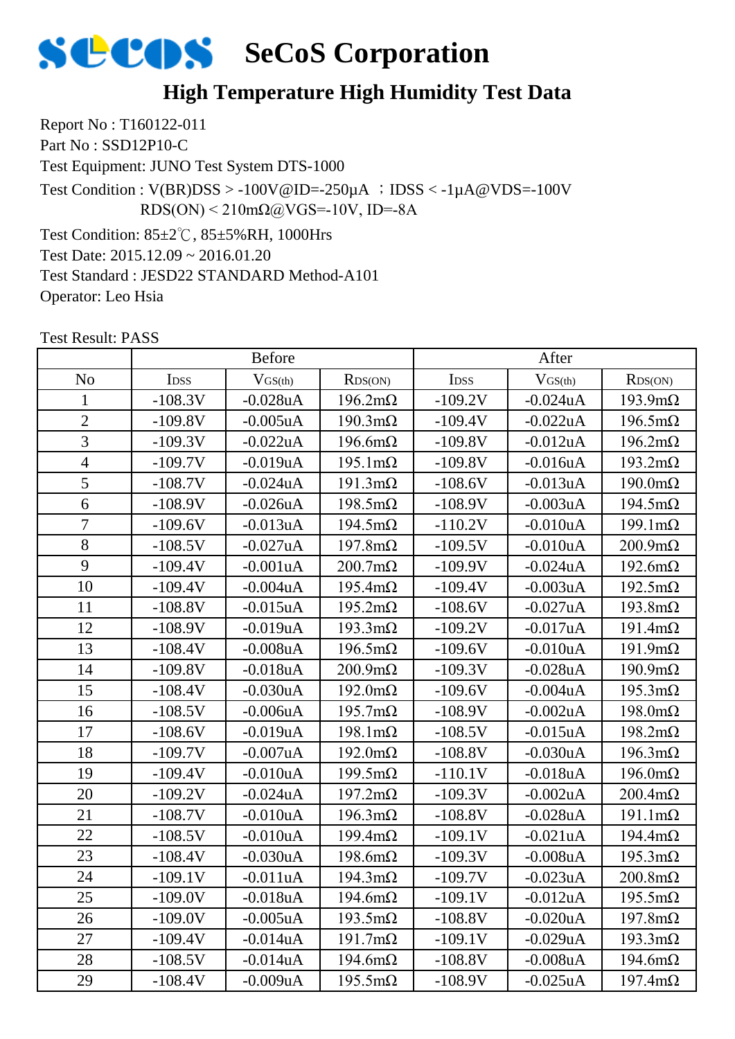

#### **High Temperature High Humidity Test Data**

Report No : T160122-011 Part No : SSD12P10-C

Test Equipment: JUNO Test System DTS-1000

Test Condition :  $V(BR)DSS > -100V@ID = -250\mu A$  ;  $DSS < -1\mu A@VDS = -100V$  $RDS(ON) < 210 \text{m}\Omega$ @VGS=-10V, ID=-8A

Test Condition: 85±2℃, 85±5%RH, 1000Hrs Test Date: 2015.12.09 ~ 2016.01.20 Test Standard : JESD22 STANDARD Method-A101 Operator: Leo Hsia

|                | <b>Before</b>    |                |                        | After            |              |                        |
|----------------|------------------|----------------|------------------------|------------------|--------------|------------------------|
| N <sub>o</sub> | I <sub>DSS</sub> | $V_{GS(th)}$   | RDS(ON)                | I <sub>DSS</sub> | $V_{GS(th)}$ | RDS(ON)                |
| 1              | $-108.3V$        | $-0.028$ u $A$ | $196.2 \text{m}\Omega$ | $-109.2V$        | $-0.024uA$   | $193.9 \text{m}\Omega$ |
| $\overline{2}$ | $-109.8V$        | $-0.005$ uA    | $190.3 \text{m}\Omega$ | $-109.4V$        | $-0.022uA$   | $196.5 \text{m}\Omega$ |
| 3              | $-109.3V$        | $-0.022uA$     | $196.6m\Omega$         | $-109.8V$        | $-0.012$ uA  | $196.2 \text{m}\Omega$ |
| $\overline{4}$ | $-109.7V$        | $-0.019uA$     | $195.1 \text{m}\Omega$ | $-109.8V$        | $-0.016$ uA  | $193.2 \text{m}\Omega$ |
| 5              | $-108.7V$        | $-0.024uA$     | $191.3 \text{m}\Omega$ | $-108.6V$        | $-0.013uA$   | $190.0 \text{m}\Omega$ |
| 6              | $-108.9V$        | $-0.026$ uA    | $198.5 \text{m}\Omega$ | $-108.9V$        | $-0.003uA$   | $194.5 \text{m}\Omega$ |
| 7              | $-109.6V$        | $-0.013uA$     | $194.5 \text{m}\Omega$ | $-110.2V$        | $-0.010uA$   | $199.1 \text{m}\Omega$ |
| 8              | $-108.5V$        | $-0.027uA$     | $197.8m\Omega$         | $-109.5V$        | $-0.010uA$   | $200.9 \text{m}\Omega$ |
| 9              | $-109.4V$        | $-0.001uA$     | $200.7 \text{m}\Omega$ | $-109.9V$        | $-0.024uA$   | $192.6 \text{m}\Omega$ |
| 10             | $-109.4V$        | $-0.004uA$     | $195.4 \text{m}\Omega$ | $-109.4V$        | $-0.003uA$   | $192.5 \text{m}\Omega$ |
| 11             | $-108.8V$        | $-0.015uA$     | $195.2 \text{m}\Omega$ | $-108.6V$        | $-0.027uA$   | $193.8 \text{m}\Omega$ |
| 12             | $-108.9V$        | $-0.019uA$     | $193.3 \text{mA}$      | $-109.2V$        | $-0.017uA$   | $191.4 \text{m}\Omega$ |
| 13             | $-108.4V$        | $-0.008$ u $A$ | $196.5 \text{m}\Omega$ | $-109.6V$        | $-0.010uA$   | $191.9m\Omega$         |
| 14             | $-109.8V$        | $-0.018uA$     | $200.9 \text{m}\Omega$ | $-109.3V$        | $-0.028uA$   | $190.9 \text{m}\Omega$ |
| 15             | $-108.4V$        | $-0.030uA$     | $192.0 \text{m}\Omega$ | $-109.6V$        | $-0.004uA$   | $195.3 \text{m}\Omega$ |
| 16             | $-108.5V$        | $-0.006uA$     | $195.7 \text{m}\Omega$ | $-108.9V$        | $-0.002$ uA  | $198.0 \text{m}\Omega$ |
| 17             | $-108.6V$        | $-0.019uA$     | $198.1 \text{m}\Omega$ | $-108.5V$        | $-0.015$ uA  | $198.2 \text{m}\Omega$ |
| 18             | $-109.7V$        | $-0.007uA$     | $192.0 \text{m}\Omega$ | $-108.8V$        | $-0.030uA$   | $196.3 \text{m}\Omega$ |
| 19             | $-109.4V$        | $-0.010uA$     | $199.5 \text{m}\Omega$ | $-110.1V$        | $-0.018$ uA  | $196.0 \text{m}\Omega$ |
| 20             | $-109.2V$        | $-0.024uA$     | $197.2 \text{m}\Omega$ | $-109.3V$        | $-0.002uA$   | $200.4 \text{m}\Omega$ |
| 21             | $-108.7V$        | $-0.010uA$     | $196.3 \text{m}\Omega$ | $-108.8V$        | $-0.028uA$   | $191.1 \text{m}\Omega$ |
| 22             | $-108.5V$        | $-0.010uA$     | $199.4 \text{m}\Omega$ | $-109.1V$        | $-0.021uA$   | $194.4 \text{m}\Omega$ |
| 23             | $-108.4V$        | $-0.030uA$     | $198.6m\Omega$         | $-109.3V$        | $-0.008uA$   | $195.3 \text{m}\Omega$ |
| 24             | $-109.1V$        | $-0.011uA$     | $194.3 \text{m}\Omega$ | $-109.7V$        | $-0.023uA$   | $200.8 \text{m}\Omega$ |
| 25             | $-109.0V$        | $-0.018uA$     | $194.6m\Omega$         | $-109.1V$        | $-0.012uA$   | $195.5 \text{m}\Omega$ |
| 26             | $-109.0V$        | $-0.005uA$     | $193.5 \text{m}\Omega$ | $-108.8V$        | $-0.020uA$   | $197.8m\Omega$         |
| 27             | $-109.4V$        | $-0.014uA$     | $191.7 \text{m}\Omega$ | $-109.1V$        | $-0.029uA$   | $193.3 \text{mA}$      |
| 28             | $-108.5V$        | $-0.014uA$     | $194.6m\Omega$         | $-108.8V$        | $-0.008uA$   | $194.6m\Omega$         |
| 29             | $-108.4V$        | $-0.009uA$     | $195.5 \text{m}\Omega$ | $-108.9V$        | $-0.025uA$   | $197.4 \text{m}\Omega$ |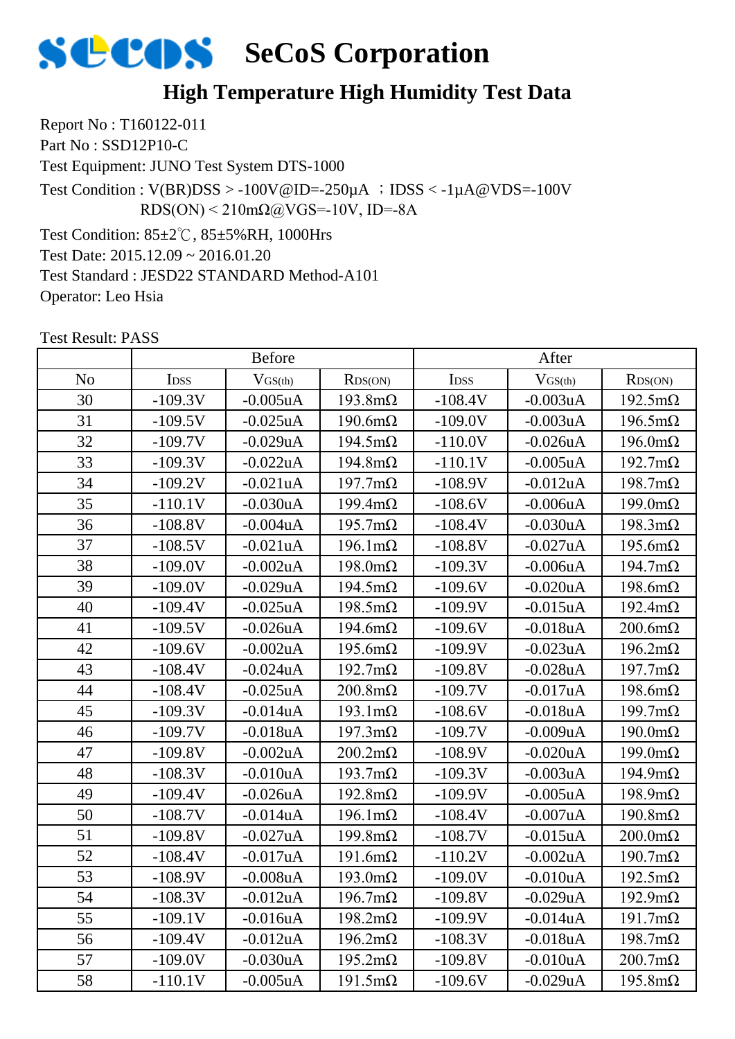

#### **High Temperature High Humidity Test Data**

Report No : T160122-011 Part No : SSD12P10-C

Test Equipment: JUNO Test System DTS-1000

Test Condition :  $V(BR)DSS > -100V@ID = -250\mu A$  ;  $DSS < -1\mu A@VDS = -100V$  $RDS(ON) < 210 \text{m}\Omega$ @VGS=-10V, ID=-8A

Test Condition: 85±2℃, 85±5%RH, 1000Hrs Test Date: 2015.12.09 ~ 2016.01.20 Test Standard : JESD22 STANDARD Method-A101 Operator: Leo Hsia

|                | <b>Before</b> |                |                        | After     |                |                        |
|----------------|---------------|----------------|------------------------|-----------|----------------|------------------------|
| N <sub>o</sub> | IDSS          | $V_{GS(th)}$   | RDS(ON)                | IDSS      | $V_{GS(th)}$   | RDS(ON)                |
| 30             | $-109.3V$     | $-0.005$ uA    | $193.8 \text{m}\Omega$ | $-108.4V$ | $-0.003$ uA    | $192.5 \text{m}\Omega$ |
| 31             | $-109.5V$     | $-0.025uA$     | $190.6m\Omega$         | $-109.0V$ | $-0.003uA$     | $196.5 \text{m}\Omega$ |
| 32             | $-109.7V$     | $-0.029uA$     | $194.5 \text{m}\Omega$ | $-110.0V$ | $-0.026$ uA    | $196.0 \text{m}\Omega$ |
| 33             | $-109.3V$     | $-0.022uA$     | $194.8 \text{m}\Omega$ | $-110.1V$ | $-0.005$ uA    | $192.7 \text{m}\Omega$ |
| 34             | $-109.2V$     | $-0.021uA$     | $197.7 \text{m}\Omega$ | $-108.9V$ | $-0.012$ uA    | $198.7 \text{m}\Omega$ |
| 35             | $-110.1V$     | $-0.030uA$     | $199.4 \text{m}\Omega$ | $-108.6V$ | $-0.006$ u $A$ | $199.0 \text{m}\Omega$ |
| 36             | $-108.8V$     | $-0.004uA$     | $195.7 \text{m}\Omega$ | $-108.4V$ | $-0.030uA$     | $198.3 \text{m}\Omega$ |
| 37             | $-108.5V$     | $-0.021uA$     | $196.1 \text{m}\Omega$ | $-108.8V$ | $-0.027uA$     | $195.6m\Omega$         |
| 38             | $-109.0V$     | $-0.002uA$     | $198.0 \text{m}\Omega$ | $-109.3V$ | $-0.006$ u $A$ | $194.7 \text{m}\Omega$ |
| 39             | $-109.0V$     | $-0.029uA$     | $194.5 \text{m}\Omega$ | $-109.6V$ | $-0.020uA$     | $198.6 \text{m}\Omega$ |
| 40             | $-109.4V$     | $-0.025uA$     | $198.5 \text{m}\Omega$ | $-109.9V$ | $-0.015$ uA    | $192.4 \text{m}\Omega$ |
| 41             | $-109.5V$     | $-0.026uA$     | $194.6m\Omega$         | $-109.6V$ | $-0.018uA$     | $200.6m\Omega$         |
| 42             | $-109.6V$     | $-0.002uA$     | $195.6m\Omega$         | $-109.9V$ | $-0.023uA$     | $196.2 \text{m}\Omega$ |
| 43             | $-108.4V$     | $-0.024uA$     | $192.7 \text{m}\Omega$ | $-109.8V$ | $-0.028$ uA    | $197.7 \text{m}\Omega$ |
| 44             | $-108.4V$     | $-0.025$ uA    | $200.8 \text{m}\Omega$ | $-109.7V$ | $-0.017uA$     | $198.6m\Omega$         |
| 45             | $-109.3V$     | $-0.014uA$     | $193.1 \text{m}\Omega$ | $-108.6V$ | $-0.018uA$     | $199.7 \text{m}\Omega$ |
| 46             | $-109.7V$     | $-0.018uA$     | $197.3 \text{m}\Omega$ | $-109.7V$ | $-0.009uA$     | $190.0 \text{m}\Omega$ |
| 47             | $-109.8V$     | $-0.002uA$     | $200.2 \text{m}\Omega$ | $-108.9V$ | $-0.020uA$     | $199.0 \text{m}\Omega$ |
| 48             | $-108.3V$     | $-0.010uA$     | $193.7 \text{m}\Omega$ | $-109.3V$ | $-0.003uA$     | $194.9 \text{m}\Omega$ |
| 49             | $-109.4V$     | $-0.026uA$     | $192.8 \text{m}\Omega$ | $-109.9V$ | $-0.005$ uA    | $198.9 \text{m}\Omega$ |
| 50             | $-108.7V$     | $-0.014uA$     | $196.1 \text{m}\Omega$ | $-108.4V$ | $-0.007uA$     | $190.8 \text{m}\Omega$ |
| 51             | $-109.8V$     | $-0.027uA$     | $199.8 \text{m}\Omega$ | $-108.7V$ | $-0.015uA$     | $200.0 \text{m}\Omega$ |
| 52             | $-108.4V$     | $-0.017uA$     | $191.6m\Omega$         | $-110.2V$ | $-0.002uA$     | $190.7 \text{m}\Omega$ |
| 53             | $-108.9V$     | $-0.008$ u $A$ | $193.0 \text{m}\Omega$ | $-109.0V$ | $-0.010uA$     | $192.5 \text{m}\Omega$ |
| 54             | $-108.3V$     | $-0.012uA$     | $196.7 \text{m}\Omega$ | $-109.8V$ | $-0.029uA$     | $192.9 \text{m}\Omega$ |
| 55             | $-109.1V$     | $-0.016$ uA    | $198.2 \text{m}\Omega$ | $-109.9V$ | $-0.014uA$     | $191.7 \text{m}\Omega$ |
| 56             | $-109.4V$     | $-0.012uA$     | $196.2 \text{m}\Omega$ | $-108.3V$ | $-0.018uA$     | $198.7 \text{m}\Omega$ |
| 57             | $-109.0V$     | $-0.030uA$     | $195.2 \text{m}\Omega$ | $-109.8V$ | $-0.010uA$     | $200.7 \text{m}\Omega$ |
| 58             | $-110.1V$     | $-0.005$ uA    | $191.5 \text{m}\Omega$ | $-109.6V$ | $-0.029uA$     | $195.8m\Omega$         |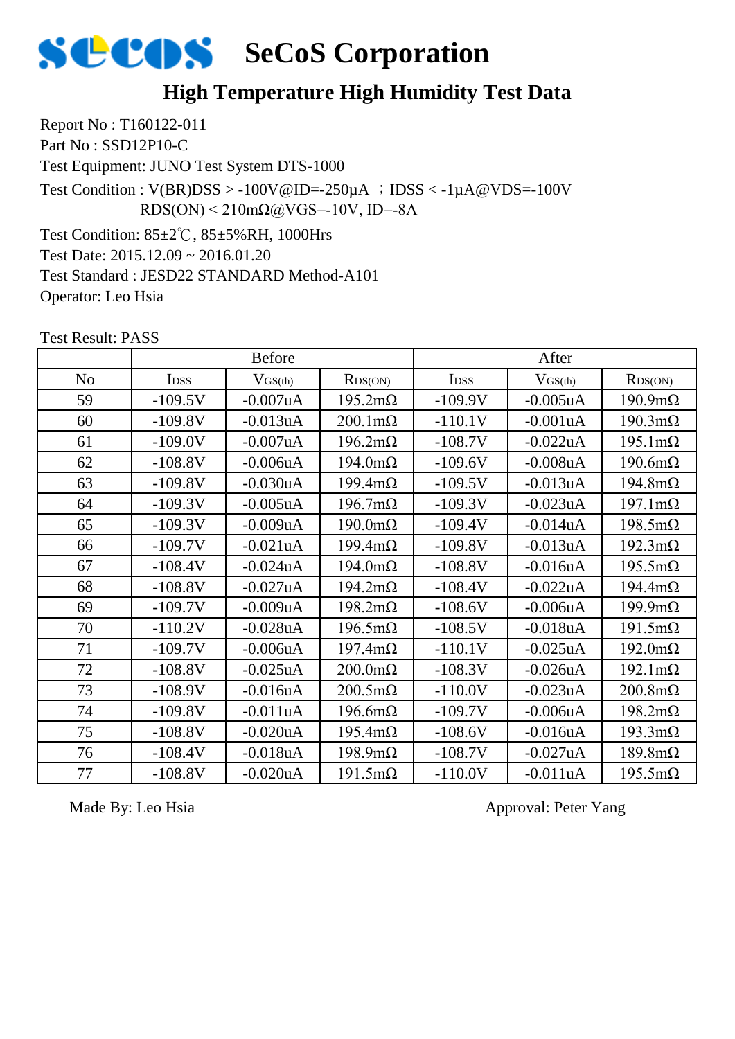

#### **High Temperature High Humidity Test Data**

Report No : T160122-011 Part No : SSD12P10-C

Test Equipment: JUNO Test System DTS-1000

Test Condition :  $V(BR)DSS > -100V@ID = -250\mu A$  ;  $DSS < -1\mu A@VDS = -100V$  $RDS(ON) < 210 \text{m}\Omega$ @VGS=-10V, ID=-8A

Test Condition: 85±2℃, 85±5%RH, 1000Hrs Test Date: 2015.12.09 ~ 2016.01.20 Test Standard : JESD22 STANDARD Method-A101

Operator: Leo Hsia

Test Result: PASS

|                | <b>Before</b>    |                |                        | After       |                |                        |
|----------------|------------------|----------------|------------------------|-------------|----------------|------------------------|
| N <sub>o</sub> | I <sub>DSS</sub> | $V$ GS(th)     | RDS(ON)                | <b>IDSS</b> | $V_{GS(th)}$   | RDS(ON)                |
| 59             | $-109.5V$        | $-0.007uA$     | $195.2 \text{m}\Omega$ | $-109.9V$   | $-0.005$ uA    | $190.9 \text{m}\Omega$ |
| 60             | $-109.8V$        | $-0.013uA$     | $200.1 \text{m}\Omega$ | $-110.1V$   | $-0.001uA$     | $190.3 \text{m}\Omega$ |
| 61             | $-109.0V$        | $-0.007uA$     | $196.2 \text{m}\Omega$ | $-108.7V$   | $-0.022uA$     | $195.1 \text{m}\Omega$ |
| 62             | $-108.8V$        | $-0.006uA$     | $194.0 \text{m}\Omega$ | $-109.6V$   | $-0.008uA$     | $190.6m\Omega$         |
| 63             | $-109.8V$        | $-0.030uA$     | $199.4 \text{m}\Omega$ | $-109.5V$   | $-0.013uA$     | $194.8m\Omega$         |
| 64             | $-109.3V$        | $-0.005uA$     | $196.7 \text{m}\Omega$ | $-109.3V$   | $-0.023uA$     | $197.1 \text{m}\Omega$ |
| 65             | $-109.3V$        | $-0.009uA$     | $190.0 \text{m}\Omega$ | $-109.4V$   | $-0.014uA$     | $198.5 \text{m}\Omega$ |
| 66             | $-109.7V$        | $-0.021uA$     | $199.4 \text{m}\Omega$ | $-109.8V$   | $-0.013uA$     | $192.3 \text{m}\Omega$ |
| 67             | $-108.4V$        | $-0.024uA$     | $194.0 \text{m}\Omega$ | $-108.8V$   | $-0.016uA$     | $195.5 \text{m}\Omega$ |
| 68             | $-108.8V$        | $-0.027uA$     | $194.2 \text{m}\Omega$ | $-108.4V$   | $-0.022uA$     | $194.4 \text{m}\Omega$ |
| 69             | $-109.7V$        | $-0.009uA$     | $198.2 \text{m}\Omega$ | $-108.6V$   | $-0.006uA$     | $199.9 \text{m}\Omega$ |
| 70             | $-110.2V$        | $-0.028$ u $A$ | $196.5 \text{m}\Omega$ | $-108.5V$   | $-0.018uA$     | $191.5 \text{m}\Omega$ |
| 71             | $-109.7V$        | $-0.006uA$     | $197.4 \text{m}\Omega$ | $-110.1V$   | $-0.025$ uA    | $192.0 \text{m}\Omega$ |
| 72             | $-108.8V$        | $-0.025uA$     | $200.0 \text{m}\Omega$ | $-108.3V$   | $-0.026$ u $A$ | $192.1 \text{m}\Omega$ |
| 73             | $-108.9V$        | $-0.016uA$     | $200.5 \text{m}\Omega$ | $-110.0V$   | $-0.023uA$     | $200.8 \text{m}\Omega$ |
| 74             | $-109.8V$        | $-0.011uA$     | $196.6m\Omega$         | $-109.7V$   | $-0.006uA$     | $198.2 \text{m}\Omega$ |
| 75             | $-108.8V$        | $-0.020uA$     | $195.4 \text{m}\Omega$ | $-108.6V$   | $-0.016uA$     | $193.3 \text{mA}$      |
| 76             | $-108.4V$        | $-0.018uA$     | $198.9 \text{m}\Omega$ | $-108.7V$   | $-0.027uA$     | $189.8m\Omega$         |
| 77             | $-108.8V$        | $-0.020uA$     | $191.5 \text{m}\Omega$ | $-110.0V$   | $-0.011uA$     | $195.5 \text{m}\Omega$ |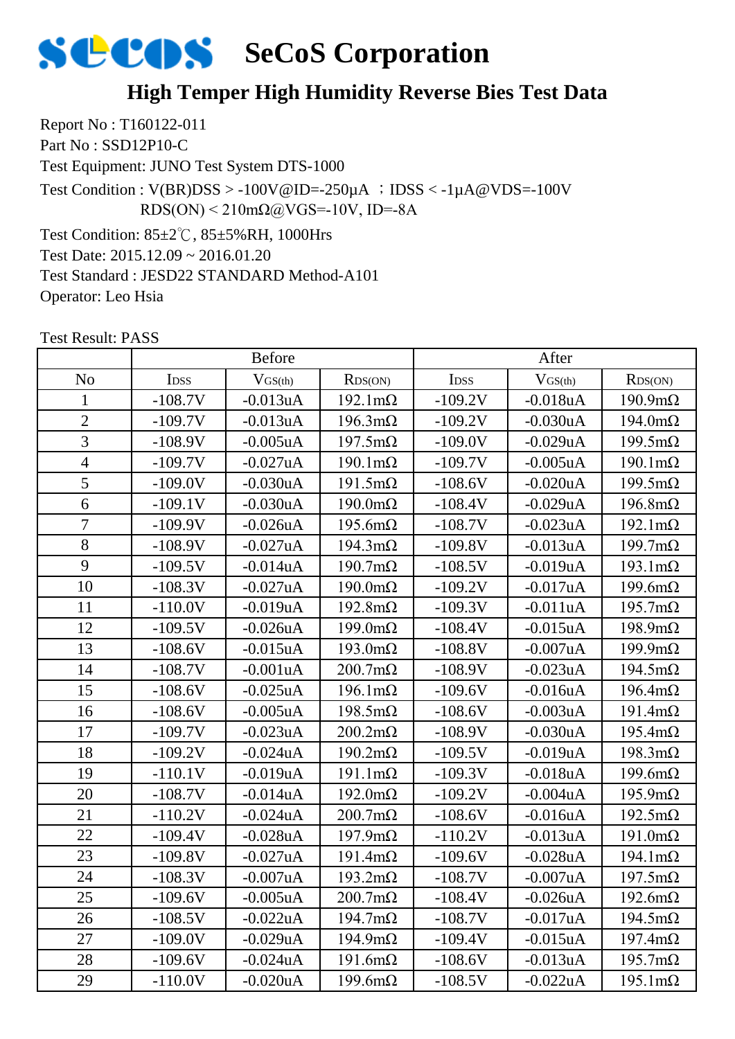#### **High Temper High Humidity Reverse Bies Test Data**

Report No : T160122-011 Part No : SSD12P10-C Test Equipment: JUNO Test System DTS-1000 Test Condition: 85±2℃, 85±5%RH, 1000Hrs Test Date: 2015.12.09 ~ 2016.01.20 Test Standard : JESD22 STANDARD Method-A101 Test Condition :  $V(BR)DSS > -100V@ID = -250\mu A$  ;  $DSS < -1\mu A@VDS = -100V$  $RDS(ON) < 210 \text{m}\Omega$ @VGS=-10V, ID=-8A

Test Result: PASS

Operator: Leo Hsia

|                | <b>Before</b> |                |                        | After     |                |                        |
|----------------|---------------|----------------|------------------------|-----------|----------------|------------------------|
| N <sub>o</sub> | IDSS          | $V$ GS(th)     | RDS(ON)                | IDSS      | $V$ GS(th)     | RDS(ON)                |
| $\mathbf{1}$   | $-108.7V$     | $-0.013uA$     | $192.1 \text{m}\Omega$ | $-109.2V$ | $-0.018uA$     | $190.9 \text{m}\Omega$ |
| $\overline{2}$ | $-109.7V$     | $-0.013uA$     | $196.3 \text{m}\Omega$ | $-109.2V$ | $-0.030uA$     | $194.0 \text{m}\Omega$ |
| $\overline{3}$ | $-108.9V$     | $-0.005uA$     | $197.5 \text{m}\Omega$ | $-109.0V$ | $-0.029uA$     | $199.5 \text{m}\Omega$ |
| $\overline{4}$ | $-109.7V$     | $-0.027uA$     | $190.1 \text{m}\Omega$ | $-109.7V$ | $-0.005$ uA    | $190.1 \text{m}\Omega$ |
| $\overline{5}$ | $-109.0V$     | $-0.030uA$     | $191.5 \text{m}\Omega$ | $-108.6V$ | $-0.020uA$     | $199.5 \text{m}\Omega$ |
| 6              | $-109.1V$     | $-0.030uA$     | $190.0 \text{m}\Omega$ | $-108.4V$ | $-0.029uA$     | $196.8 \text{m}\Omega$ |
| $\overline{7}$ | $-109.9V$     | $-0.026uA$     | $195.6 \text{m}\Omega$ | $-108.7V$ | $-0.023uA$     | $192.1 \text{m}\Omega$ |
| 8              | $-108.9V$     | $-0.027uA$     | $194.3 \text{m}\Omega$ | $-109.8V$ | $-0.013uA$     | $199.7 \text{m}\Omega$ |
| 9              | $-109.5V$     | $-0.014uA$     | $190.7 \text{m}\Omega$ | $-108.5V$ | $-0.019$ u $A$ | $193.1 \text{m}\Omega$ |
| 10             | $-108.3V$     | $-0.027uA$     | $190.0 \text{m}\Omega$ | $-109.2V$ | $-0.017uA$     | $199.6 \text{m}\Omega$ |
| 11             | $-110.0V$     | $-0.019uA$     | $192.8 \text{m}\Omega$ | $-109.3V$ | $-0.011uA$     | $195.7 \text{m}\Omega$ |
| 12             | $-109.5V$     | $-0.026$ uA    | $199.0 \text{m}\Omega$ | $-108.4V$ | $-0.015uA$     | $198.9 \text{m}\Omega$ |
| 13             | $-108.6V$     | $-0.015uA$     | $193.0 \text{m}\Omega$ | $-108.8V$ | $-0.007uA$     | $199.9 \text{m}\Omega$ |
| 14             | $-108.7V$     | $-0.001uA$     | $200.7 \text{m}\Omega$ | $-108.9V$ | $-0.023uA$     | $194.5 \text{m}\Omega$ |
| 15             | $-108.6V$     | $-0.025uA$     | $196.1 \text{m}\Omega$ | $-109.6V$ | $-0.016uA$     | $196.4 \text{m}\Omega$ |
| 16             | $-108.6V$     | $-0.005uA$     | $198.5 \text{m}\Omega$ | $-108.6V$ | $-0.003uA$     | $191.4 \text{m}\Omega$ |
| 17             | $-109.7V$     | $-0.023uA$     | $200.2 \text{m}\Omega$ | $-108.9V$ | $-0.030uA$     | $195.4 \text{m}\Omega$ |
| 18             | $-109.2V$     | $-0.024uA$     | $190.2 \text{m}\Omega$ | $-109.5V$ | $-0.019uA$     | $198.3 \text{m}\Omega$ |
| 19             | $-110.1V$     | $-0.019uA$     | $191.1 \text{m}\Omega$ | $-109.3V$ | $-0.018uA$     | $199.6m\Omega$         |
| 20             | $-108.7V$     | $-0.014uA$     | $192.0 \text{m}\Omega$ | $-109.2V$ | $-0.004uA$     | $195.9 \text{m}\Omega$ |
| 21             | $-110.2V$     | $-0.024uA$     | $200.7 \text{m}\Omega$ | $-108.6V$ | $-0.016uA$     | $192.5 \text{m}\Omega$ |
| 22             | $-109.4V$     | $-0.028uA$     | $197.9 \text{m}\Omega$ | $-110.2V$ | $-0.013uA$     | $191.0 \text{m}\Omega$ |
| 23             | $-109.8V$     | $-0.027uA$     | $191.4 \text{m}\Omega$ | $-109.6V$ | $-0.028uA$     | $194.1 \text{m}\Omega$ |
| 24             | $-108.3V$     | $-0.007uA$     | $193.2 \text{m}\Omega$ | $-108.7V$ | $-0.007uA$     | $197.5 \text{m}\Omega$ |
| 25             | $-109.6V$     | $-0.005uA$     | $200.7 \text{m}\Omega$ | $-108.4V$ | $-0.026uA$     | $192.6 \text{m}\Omega$ |
| 26             | $-108.5V$     | $-0.022uA$     | $194.7 \text{m}\Omega$ | $-108.7V$ | $-0.017uA$     | $194.5 \text{m}\Omega$ |
| 27             | $-109.0V$     | $-0.029uA$     | $194.9 \text{m}\Omega$ | $-109.4V$ | $-0.015$ uA    | $197.4 \text{m}\Omega$ |
| 28             | $-109.6V$     | $-0.024uA$     | $191.6m\Omega$         | $-108.6V$ | $-0.013uA$     | $195.7 \text{m}\Omega$ |
| 29             | $-110.0V$     | $-0.020$ u $A$ | $199.6m\Omega$         | $-108.5V$ | $-0.022uA$     | $195.1 \text{m}\Omega$ |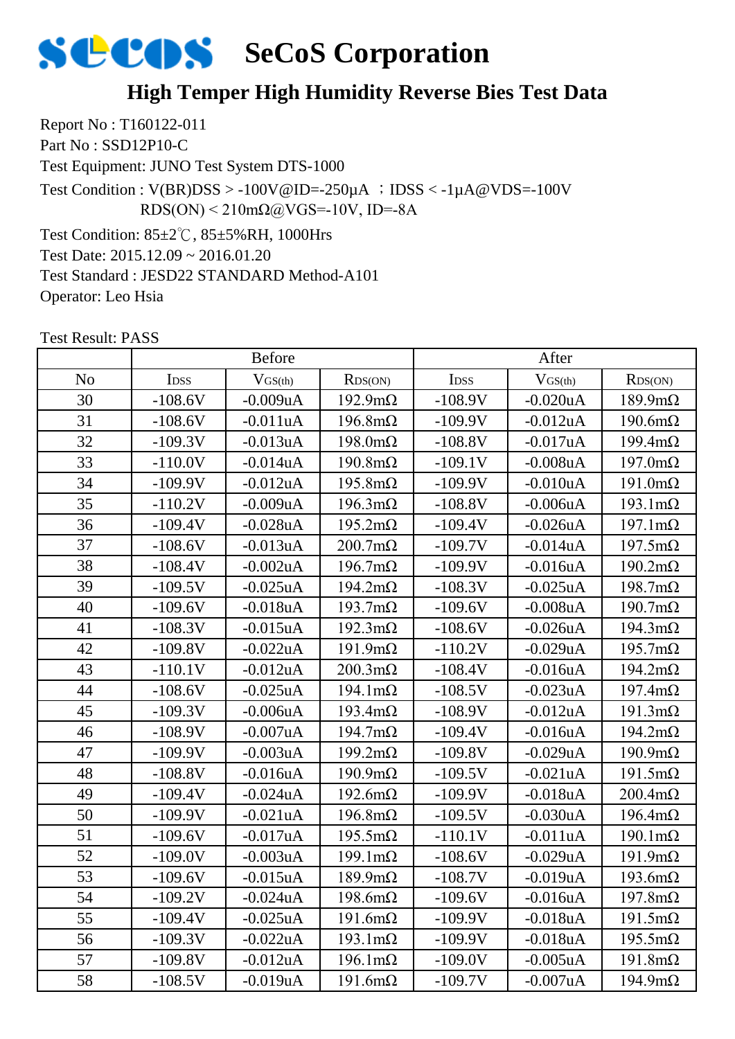#### **High Temper High Humidity Reverse Bies Test Data**

Report No : T160122-011 Part No : SSD12P10-C Test Equipment: JUNO Test System DTS-1000 Test Condition: 85±2℃, 85±5%RH, 1000Hrs Test Date: 2015.12.09 ~ 2016.01.20 Test Standard : JESD22 STANDARD Method-A101 Test Condition :  $V(BR)DSS > -100V@ID = -250\mu A$  ;  $DSS < -1\mu A@VDS = -100V$  $RDS(ON) < 210 \text{m}\Omega$ @VGS=-10V, ID=-8A

Test Result: PASS

Operator: Leo Hsia

|                | <b>Before</b> |                |                        | After     |                |                        |
|----------------|---------------|----------------|------------------------|-----------|----------------|------------------------|
| N <sub>o</sub> | IDSS          | $V$ GS(th)     | RDS(ON)                | IDSS      | $V_{GS(th)}$   | RDS(ON)                |
| 30             | $-108.6V$     | $-0.009uA$     | $192.9 \text{m}\Omega$ | $-108.9V$ | $-0.020uA$     | $189.9 \text{mA}$      |
| 31             | $-108.6V$     | $-0.011uA$     | $196.8 \text{m}\Omega$ | $-109.9V$ | $-0.012uA$     | $190.6m\Omega$         |
| 32             | $-109.3V$     | $-0.013uA$     | $198.0 \text{m}\Omega$ | $-108.8V$ | $-0.017uA$     | $199.4 \text{m}\Omega$ |
| 33             | $-110.0V$     | $-0.014uA$     | $190.8 \text{m}\Omega$ | $-109.1V$ | $-0.008uA$     | $197.0 \text{m}\Omega$ |
| 34             | $-109.9V$     | $-0.012uA$     | $195.8 \text{m}\Omega$ | $-109.9V$ | $-0.010uA$     | $191.0 \text{m}\Omega$ |
| 35             | $-110.2V$     | $-0.009uA$     | $196.3 \text{m}\Omega$ | $-108.8V$ | $-0.006$ u $A$ | $193.1 \text{m}\Omega$ |
| 36             | $-109.4V$     | $-0.028uA$     | $195.2 \text{m}\Omega$ | $-109.4V$ | $-0.026$ uA    | $197.1 \text{m}\Omega$ |
| 37             | $-108.6V$     | $-0.013uA$     | $200.7 \text{m}\Omega$ | $-109.7V$ | $-0.014uA$     | $197.5 \text{m}\Omega$ |
| 38             | $-108.4V$     | $-0.002uA$     | $196.7 \text{m}\Omega$ | $-109.9V$ | $-0.016uA$     | $190.2 \text{m}\Omega$ |
| 39             | $-109.5V$     | $-0.025uA$     | $194.2 \text{m}\Omega$ | $-108.3V$ | $-0.025uA$     | $198.7 \text{m}\Omega$ |
| 40             | $-109.6V$     | $-0.018uA$     | $193.7 \text{m}\Omega$ | $-109.6V$ | $-0.008uA$     | $190.7 \text{m}\Omega$ |
| 41             | $-108.3V$     | $-0.015uA$     | $192.3 \text{m}\Omega$ | $-108.6V$ | $-0.026$ uA    | $194.3 \text{m}\Omega$ |
| 42             | $-109.8V$     | $-0.022uA$     | $191.9m\Omega$         | $-110.2V$ | $-0.029uA$     | $195.7 \text{m}\Omega$ |
| 43             | $-110.1V$     | $-0.012uA$     | $200.3 \text{m}\Omega$ | $-108.4V$ | $-0.016uA$     | $194.2 \text{m}\Omega$ |
| 44             | $-108.6V$     | $-0.025uA$     | $194.1 \text{m}\Omega$ | $-108.5V$ | $-0.023uA$     | $197.4 \text{m}\Omega$ |
| 45             | $-109.3V$     | $-0.006$ u $A$ | $193.4 \text{m}\Omega$ | $-108.9V$ | $-0.012$ uA    | $191.3 \text{m}\Omega$ |
| 46             | $-108.9V$     | $-0.007uA$     | $194.7 \text{m}\Omega$ | $-109.4V$ | $-0.016uA$     | $194.2 \text{m}\Omega$ |
| 47             | $-109.9V$     | $-0.003uA$     | $199.2 \text{m}\Omega$ | $-109.8V$ | $-0.029uA$     | $190.9 \text{m}\Omega$ |
| 48             | $-108.8V$     | $-0.016$ uA    | $190.9 \text{m}\Omega$ | $-109.5V$ | $-0.021uA$     | $191.5 \text{m}\Omega$ |
| 49             | $-109.4V$     | $-0.024uA$     | $192.6 \text{m}\Omega$ | $-109.9V$ | $-0.018uA$     | $200.4 \text{m}\Omega$ |
| 50             | $-109.9V$     | $-0.021uA$     | $196.8 \text{m}\Omega$ | $-109.5V$ | $-0.030uA$     | $196.4 \text{m}\Omega$ |
| 51             | $-109.6V$     | $-0.017uA$     | $195.5 \text{m}\Omega$ | $-110.1V$ | $-0.011uA$     | $190.1 \text{m}\Omega$ |
| 52             | $-109.0V$     | $-0.003uA$     | $199.1 \text{m}\Omega$ | $-108.6V$ | $-0.029uA$     | $191.9m\Omega$         |
| 53             | $-109.6V$     | $-0.015uA$     | $189.9 \text{m}\Omega$ | $-108.7V$ | $-0.019$ uA    | $193.6m\Omega$         |
| 54             | $-109.2V$     | $-0.024uA$     | $198.6m\Omega$         | $-109.6V$ | $-0.016$ uA    | $197.8 \text{m}\Omega$ |
| 55             | $-109.4V$     | $-0.025$ uA    | $191.6m\Omega$         | $-109.9V$ | $-0.018uA$     | $191.5 \text{m}\Omega$ |
| 56             | $-109.3V$     | $-0.022uA$     | $193.1 \text{m}\Omega$ | $-109.9V$ | $-0.018uA$     | $195.5 \text{m}\Omega$ |
| 57             | $-109.8V$     | $-0.012uA$     | $196.1 \text{m}\Omega$ | $-109.0V$ | $-0.005uA$     | $191.8m\Omega$         |
| 58             | $-108.5V$     | $-0.019$ u $A$ | $191.6m\Omega$         | $-109.7V$ | $-0.007uA$     | $194.9m\Omega$         |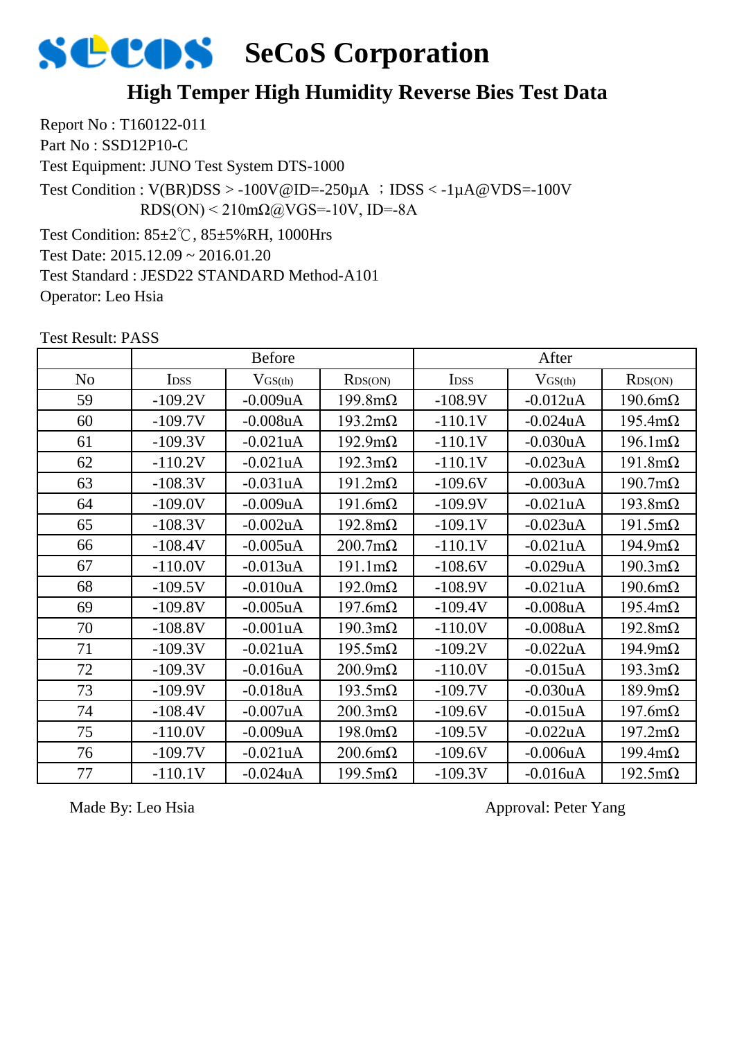

#### **High Temper High Humidity Reverse Bies Test Data**

Report No : T160122-011 Part No : SSD12P10-C Test Equipment: JUNO Test System DTS-1000 Test Condition: 85±2℃, 85±5%RH, 1000Hrs Test Date: 2015.12.09 ~ 2016.01.20 Test Standard : JESD22 STANDARD Method-A101 Test Condition :  $V(BR)DSS > -100V@ID = -250\mu A$  ;  $DSS < -1\mu A@VDS = -100V$  $RDS(ON) < 210 \text{m}\Omega$ @VGS=-10V, ID=-8A

Test Result: PASS

Operator: Leo Hsia

|                | <b>Before</b>    |              |                        | After       |              |                        |
|----------------|------------------|--------------|------------------------|-------------|--------------|------------------------|
| N <sub>o</sub> | I <sub>DSS</sub> | $V_{GS(th)}$ | RDS(ON)                | <b>IDSS</b> | $V_{GS(th)}$ | RDS(ON)                |
| 59             | $-109.2V$        | $-0.009uA$   | $199.8 \text{m}\Omega$ | $-108.9V$   | $-0.012$ uA  | $190.6m\Omega$         |
| 60             | $-109.7V$        | $-0.008uA$   | $193.2 \text{m}\Omega$ | $-110.1V$   | $-0.024uA$   | $195.4 \text{m}\Omega$ |
| 61             | $-109.3V$        | $-0.021uA$   | $192.9 \text{m}\Omega$ | $-110.1V$   | $-0.030uA$   | $196.1 \text{m}\Omega$ |
| 62             | $-110.2V$        | $-0.021uA$   | $192.3 \text{m}\Omega$ | $-110.1V$   | $-0.023uA$   | $191.8m\Omega$         |
| 63             | $-108.3V$        | $-0.031uA$   | $191.2 \text{m}\Omega$ | $-109.6V$   | $-0.003uA$   | $190.7 \text{m}\Omega$ |
| 64             | $-109.0V$        | $-0.009uA$   | $191.6m\Omega$         | $-109.9V$   | $-0.021uA$   | $193.8 \text{m}\Omega$ |
| 65             | $-108.3V$        | $-0.002$ uA  | $192.8 \text{m}\Omega$ | $-109.1V$   | $-0.023uA$   | $191.5 \text{m}\Omega$ |
| 66             | $-108.4V$        | $-0.005uA$   | $200.7 \text{m}\Omega$ | $-110.1V$   | $-0.021uA$   | $194.9 \text{m}\Omega$ |
| 67             | $-110.0V$        | $-0.013uA$   | $191.1 \text{m}\Omega$ | $-108.6V$   | $-0.029uA$   | $190.3 \text{m}\Omega$ |
| 68             | $-109.5V$        | $-0.010uA$   | $192.0 \text{m}\Omega$ | $-108.9V$   | $-0.021uA$   | $190.6m\Omega$         |
| 69             | $-109.8V$        | $-0.005uA$   | $197.6m\Omega$         | $-109.4V$   | $-0.008uA$   | $195.4 \text{m}\Omega$ |
| 70             | $-108.8V$        | $-0.001uA$   | $190.3 \text{m}\Omega$ | $-110.0V$   | $-0.008uA$   | $192.8 \text{m}\Omega$ |
| 71             | $-109.3V$        | $-0.021uA$   | $195.5 \text{m}\Omega$ | $-109.2V$   | $-0.022uA$   | $194.9 \text{m}\Omega$ |
| 72             | $-109.3V$        | $-0.016uA$   | $200.9 \text{m}\Omega$ | $-110.0V$   | $-0.015$ uA  | $193.3 \text{mA}$      |
| 73             | $-109.9V$        | $-0.018uA$   | $193.5 \text{m}\Omega$ | $-109.7V$   | $-0.030uA$   | $189.9 \text{m}\Omega$ |
| 74             | $-108.4V$        | $-0.007uA$   | $200.3 \text{m}\Omega$ | $-109.6V$   | $-0.015uA$   | $197.6m\Omega$         |
| 75             | $-110.0V$        | $-0.009uA$   | $198.0 \text{m}\Omega$ | $-109.5V$   | $-0.022uA$   | $197.2 \text{m}\Omega$ |
| 76             | $-109.7V$        | $-0.021uA$   | $200.6m\Omega$         | $-109.6V$   | $-0.006uA$   | $199.4 \text{m}\Omega$ |
| 77             | $-110.1V$        | $-0.024uA$   | $199.5 \text{m}\Omega$ | $-109.3V$   | $-0.016uA$   | $192.5 \text{m}\Omega$ |